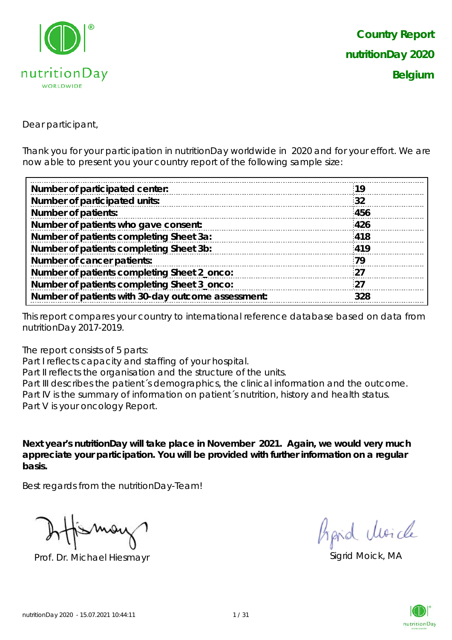

Dear participant,

Thank you for your participation in nutritionDay worldwide in 2020 and for your effort. We are now able to present you your country report of the following sample size:

| :19 |
|-----|
| 32  |
| 456 |
| 426 |
| 418 |
| 419 |
| 79  |
| -27 |
| 27  |
| 328 |
|     |

This report compares your country to international reference database based on data from nutritionDay 2017-2019.

The report consists of 5 parts:

Part I reflects capacity and staffing of your hospital.

Part II reflects the organisation and the structure of the units.

Part III describes the patient's demographics, the clinical information and the outcome. Part IV is the summary of information on patient´s nutrition, history and health status. Part V is your oncology Report.

**Next year's nutritionDay will take place in November 2021. Again, we would very much appreciate your participation. You will be provided with further information on a regular basis.**

Best regards from the nutritionDay-Team!

Prof. Dr. Michael Hiesmayr Sigrid Moick, MA

hard Moich

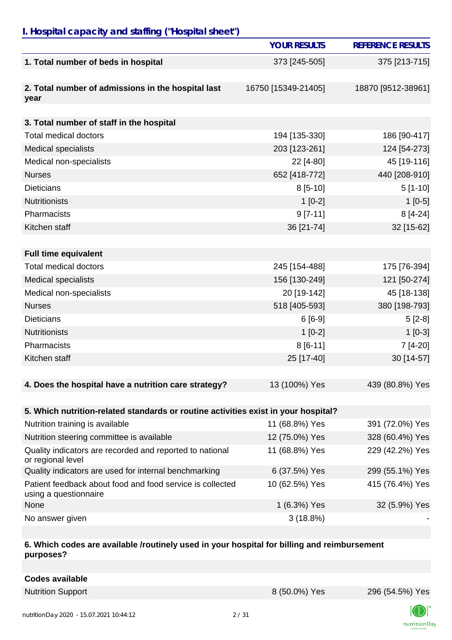## *I. Hospital capacity and staffing ("Hospital sheet")*

|                                                                                    | <b>YOUR RESULTS</b> | <b>REFERENCE RESULTS</b> |
|------------------------------------------------------------------------------------|---------------------|--------------------------|
| 1. Total number of beds in hospital                                                | 373 [245-505]       | 375 [213-715]            |
|                                                                                    |                     |                          |
| 2. Total number of admissions in the hospital last                                 | 16750 [15349-21405] | 18870 [9512-38961]       |
| year                                                                               |                     |                          |
| 3. Total number of staff in the hospital                                           |                     |                          |
| <b>Total medical doctors</b>                                                       | 194 [135-330]       | 186 [90-417]             |
| <b>Medical specialists</b>                                                         | 203 [123-261]       | 124 [54-273]             |
| Medical non-specialists                                                            | 22 [4-80]           | 45 [19-116]              |
| <b>Nurses</b>                                                                      | 652 [418-772]       | 440 [208-910]            |
| <b>Dieticians</b>                                                                  | $8[5-10]$           | $5[1-10]$                |
| <b>Nutritionists</b>                                                               | $1[0-2]$            | $1[0-5]$                 |
| Pharmacists                                                                        | $9 [7-11]$          | $8[4-24]$                |
| Kitchen staff                                                                      | 36 [21-74]          | 32 [15-62]               |
|                                                                                    |                     |                          |
| <b>Full time equivalent</b>                                                        |                     |                          |
| <b>Total medical doctors</b>                                                       | 245 [154-488]       | 175 [76-394]             |
| <b>Medical specialists</b>                                                         | 156 [130-249]       | 121 [50-274]             |
| Medical non-specialists                                                            | 20 [19-142]         | 45 [18-138]              |
| <b>Nurses</b>                                                                      | 518 [405-593]       | 380 [198-793]            |
| <b>Dieticians</b>                                                                  | $6[6-9]$            | $5[2-8]$                 |
| <b>Nutritionists</b>                                                               | $1[0-2]$            | $1[0-3]$                 |
| Pharmacists                                                                        | $8[6-11]$           | 7 [4-20]                 |
| Kitchen staff                                                                      | 25 [17-40]          | 30 [14-57]               |
|                                                                                    |                     |                          |
| 4. Does the hospital have a nutrition care strategy?                               | 13 (100%) Yes       | 439 (80.8%) Yes          |
|                                                                                    |                     |                          |
| 5. Which nutrition-related standards or routine activities exist in your hospital? |                     |                          |
| Nutrition training is available                                                    | 11 (68.8%) Yes      | 391 (72.0%) Yes          |
| Nutrition steering committee is available                                          | 12 (75.0%) Yes      | 328 (60.4%) Yes          |
| Quality indicators are recorded and reported to national<br>or regional level      | 11 (68.8%) Yes      | 229 (42.2%) Yes          |
| Quality indicators are used for internal benchmarking                              | 6 (37.5%) Yes       | 299 (55.1%) Yes          |
| Patient feedback about food and food service is collected<br>using a questionnaire | 10 (62.5%) Yes      | 415 (76.4%) Yes          |
| None                                                                               | 1 (6.3%) Yes        | 32 (5.9%) Yes            |
| No answer given                                                                    | 3(18.8%)            |                          |

#### **6. Which codes are available /routinely used in your hospital for billing and reimbursement purposes?**

| <b>Codes available</b> |
|------------------------|
|------------------------|

Nutrition Support **8 (50.0%)** Yes 296 (54.5%) Yes



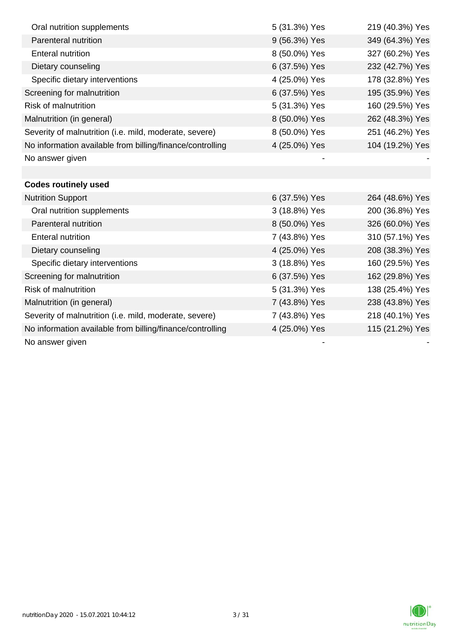| Oral nutrition supplements                                | 5 (31.3%) Yes | 219 (40.3%) Yes |
|-----------------------------------------------------------|---------------|-----------------|
| Parenteral nutrition                                      | 9 (56.3%) Yes | 349 (64.3%) Yes |
| <b>Enteral nutrition</b>                                  | 8 (50.0%) Yes | 327 (60.2%) Yes |
| Dietary counseling                                        | 6 (37.5%) Yes | 232 (42.7%) Yes |
| Specific dietary interventions                            | 4 (25.0%) Yes | 178 (32.8%) Yes |
| Screening for malnutrition                                | 6 (37.5%) Yes | 195 (35.9%) Yes |
| <b>Risk of malnutrition</b>                               | 5 (31.3%) Yes | 160 (29.5%) Yes |
| Malnutrition (in general)                                 | 8 (50.0%) Yes | 262 (48.3%) Yes |
| Severity of malnutrition (i.e. mild, moderate, severe)    | 8 (50.0%) Yes | 251 (46.2%) Yes |
| No information available from billing/finance/controlling | 4 (25.0%) Yes | 104 (19.2%) Yes |
| No answer given                                           |               |                 |
|                                                           |               |                 |
| <b>Codes routinely used</b>                               |               |                 |
| <b>Nutrition Support</b>                                  | 6 (37.5%) Yes | 264 (48.6%) Yes |
| Oral nutrition supplements                                | 3 (18.8%) Yes | 200 (36.8%) Yes |
| Parenteral nutrition                                      | 8 (50.0%) Yes | 326 (60.0%) Yes |
| <b>Enteral nutrition</b>                                  | 7 (43.8%) Yes | 310 (57.1%) Yes |
| Dietary counseling                                        | 4 (25.0%) Yes | 208 (38.3%) Yes |
| Specific dietary interventions                            | 3 (18.8%) Yes | 160 (29.5%) Yes |
| Screening for malnutrition                                | 6 (37.5%) Yes | 162 (29.8%) Yes |
| <b>Risk of malnutrition</b>                               | 5 (31.3%) Yes | 138 (25.4%) Yes |
| Malnutrition (in general)                                 | 7 (43.8%) Yes | 238 (43.8%) Yes |
| Severity of malnutrition (i.e. mild, moderate, severe)    | 7 (43.8%) Yes | 218 (40.1%) Yes |
| No information available from billing/finance/controlling | 4 (25.0%) Yes | 115 (21.2%) Yes |
| No answer given                                           |               |                 |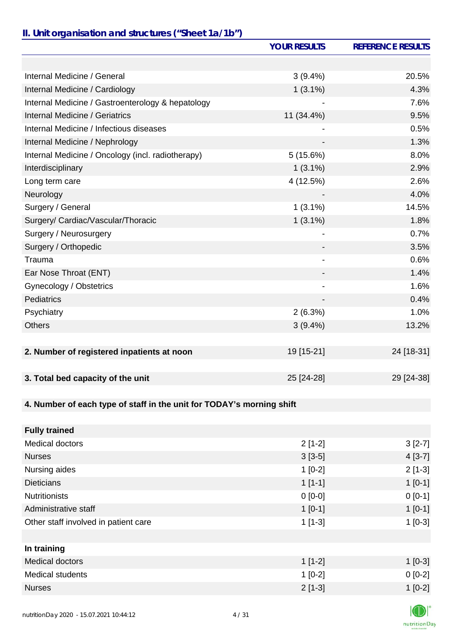# *II. Unit organisation and structures ("Sheet 1a/1b")*

|                                                                       | <b>YOUR RESULTS</b>      | <b>REFERENCE RESULTS</b> |
|-----------------------------------------------------------------------|--------------------------|--------------------------|
|                                                                       |                          |                          |
| Internal Medicine / General                                           | 3(9.4%)                  | 20.5%                    |
| Internal Medicine / Cardiology                                        | $1(3.1\%)$               | 4.3%                     |
| Internal Medicine / Gastroenterology & hepatology                     |                          | 7.6%                     |
| <b>Internal Medicine / Geriatrics</b>                                 | 11 (34.4%)               | 9.5%                     |
| Internal Medicine / Infectious diseases                               |                          | 0.5%                     |
| Internal Medicine / Nephrology                                        |                          | 1.3%                     |
| Internal Medicine / Oncology (incl. radiotherapy)                     | 5(15.6%)                 | 8.0%                     |
| Interdisciplinary                                                     | $1(3.1\%)$               | 2.9%                     |
| Long term care                                                        | 4 (12.5%)                | 2.6%                     |
| Neurology                                                             |                          | 4.0%                     |
| Surgery / General                                                     | $1(3.1\%)$               | 14.5%                    |
| Surgery/ Cardiac/Vascular/Thoracic                                    | $1(3.1\%)$               | 1.8%                     |
| Surgery / Neurosurgery                                                |                          | 0.7%                     |
| Surgery / Orthopedic                                                  |                          | 3.5%                     |
| Trauma                                                                | -                        | 0.6%                     |
| Ear Nose Throat (ENT)                                                 |                          | 1.4%                     |
| Gynecology / Obstetrics                                               | $\overline{\phantom{0}}$ | 1.6%                     |
| Pediatrics                                                            |                          | 0.4%                     |
| Psychiatry                                                            | 2(6.3%)                  | 1.0%                     |
| <b>Others</b>                                                         | $3(9.4\%)$               | 13.2%                    |
|                                                                       |                          |                          |
| 2. Number of registered inpatients at noon                            | 19 [15-21]               | 24 [18-31]               |
|                                                                       |                          |                          |
| 3. Total bed capacity of the unit                                     | 25 [24-28]               | 29 [24-38]               |
|                                                                       |                          |                          |
| 4. Number of each type of staff in the unit for TODAY's morning shift |                          |                          |
|                                                                       |                          |                          |
| <b>Fully trained</b>                                                  |                          |                          |
| Medical doctors                                                       | $2[1-2]$                 | $3[2-7]$                 |
| <b>Nurses</b>                                                         | $3[3-5]$                 | $4[3-7]$                 |
| Nursing aides                                                         | $1[0-2]$                 | $2[1-3]$                 |
| <b>Dieticians</b>                                                     | $1[1-1]$                 | $1[0-1]$                 |
| <b>Nutritionists</b>                                                  | $0 [0-0]$                | $0[0-1]$                 |
| Administrative staff                                                  | $1[0-1]$                 | $1[0-1]$                 |
| Other staff involved in patient care                                  | $1[1-3]$                 | $1[0-3]$                 |
|                                                                       |                          |                          |
| In training                                                           |                          |                          |
| Medical doctors                                                       | $1[1-2]$                 | $1[0-3]$                 |
| <b>Medical students</b>                                               | $1[0-2]$                 | $0[0-2]$                 |
| <b>Nurses</b>                                                         | $2[1-3]$                 | $1[0-2]$                 |

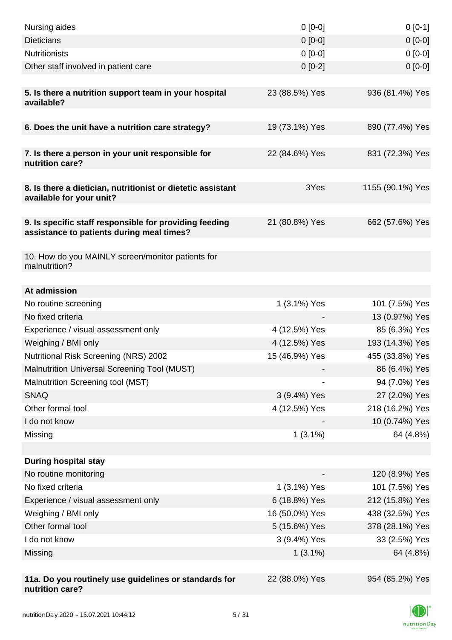| Nursing aides                                                                                       | $0 [0-0]$      | $0[0-1]$         |
|-----------------------------------------------------------------------------------------------------|----------------|------------------|
| <b>Dieticians</b>                                                                                   | $0 [0-0]$      | $0[0-0]$         |
| <b>Nutritionists</b>                                                                                | $0 [0-0]$      | $0[0-0]$         |
| Other staff involved in patient care                                                                | $0[0-2]$       | $0 [0-0]$        |
| 5. Is there a nutrition support team in your hospital<br>available?                                 | 23 (88.5%) Yes | 936 (81.4%) Yes  |
| 6. Does the unit have a nutrition care strategy?                                                    | 19 (73.1%) Yes | 890 (77.4%) Yes  |
|                                                                                                     |                |                  |
| 7. Is there a person in your unit responsible for<br>nutrition care?                                | 22 (84.6%) Yes | 831 (72.3%) Yes  |
| 8. Is there a dietician, nutritionist or dietetic assistant<br>available for your unit?             | 3Yes           | 1155 (90.1%) Yes |
| 9. Is specific staff responsible for providing feeding<br>assistance to patients during meal times? | 21 (80.8%) Yes | 662 (57.6%) Yes  |
| 10. How do you MAINLY screen/monitor patients for<br>malnutrition?                                  |                |                  |
| At admission                                                                                        |                |                  |
| No routine screening                                                                                | 1 (3.1%) Yes   | 101 (7.5%) Yes   |
| No fixed criteria                                                                                   |                | 13 (0.97%) Yes   |
| Experience / visual assessment only                                                                 | 4 (12.5%) Yes  | 85 (6.3%) Yes    |
| Weighing / BMI only                                                                                 | 4 (12.5%) Yes  | 193 (14.3%) Yes  |
| Nutritional Risk Screening (NRS) 2002                                                               | 15 (46.9%) Yes | 455 (33.8%) Yes  |
| Malnutrition Universal Screening Tool (MUST)                                                        |                | 86 (6.4%) Yes    |
| Malnutrition Screening tool (MST)                                                                   |                | 94 (7.0%) Yes    |
| <b>SNAQ</b>                                                                                         | 3 (9.4%) Yes   | 27 (2.0%) Yes    |
| Other formal tool                                                                                   | 4 (12.5%) Yes  | 218 (16.2%) Yes  |
| I do not know                                                                                       |                | 10 (0.74%) Yes   |
| Missing                                                                                             | $1(3.1\%)$     | 64 (4.8%)        |
| <b>During hospital stay</b>                                                                         |                |                  |
| No routine monitoring                                                                               |                | 120 (8.9%) Yes   |
| No fixed criteria                                                                                   | 1 (3.1%) Yes   | 101 (7.5%) Yes   |
| Experience / visual assessment only                                                                 | 6 (18.8%) Yes  | 212 (15.8%) Yes  |
| Weighing / BMI only                                                                                 | 16 (50.0%) Yes | 438 (32.5%) Yes  |
| Other formal tool                                                                                   | 5 (15.6%) Yes  | 378 (28.1%) Yes  |
| I do not know                                                                                       | 3 (9.4%) Yes   | 33 (2.5%) Yes    |
| Missing                                                                                             | $1(3.1\%)$     | 64 (4.8%)        |
| 11a. Do you routinely use guidelines or standards for<br>nutrition care?                            | 22 (88.0%) Yes | 954 (85.2%) Yes  |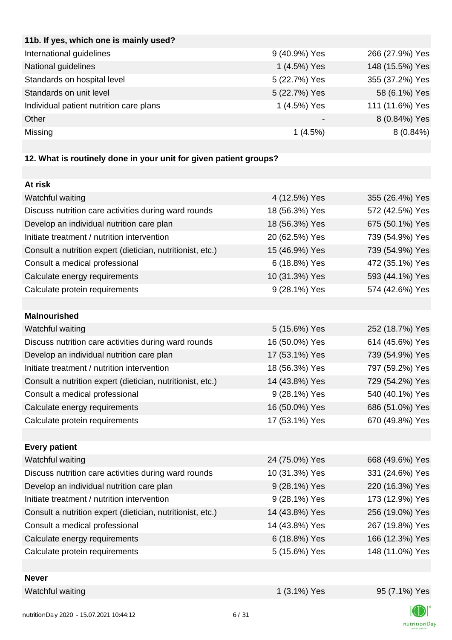| 11b. If yes, which one is mainly used?  |                          |                 |
|-----------------------------------------|--------------------------|-----------------|
| International guidelines                | 9 (40.9%) Yes            | 266 (27.9%) Yes |
| National guidelines                     | 1 (4.5%) Yes             | 148 (15.5%) Yes |
| Standards on hospital level             | 5 (22.7%) Yes            | 355 (37.2%) Yes |
| Standards on unit level                 | 5 (22.7%) Yes            | 58 (6.1%) Yes   |
| Individual patient nutrition care plans | 1 (4.5%) Yes             | 111 (11.6%) Yes |
| Other                                   | $\overline{\phantom{0}}$ | 8 (0.84%) Yes   |
| Missing                                 | 1(4.5%)                  | $8(0.84\%)$     |
|                                         |                          |                 |

## **12. What is routinely done in your unit for given patient groups?**

| At risk                                                    |                |                 |
|------------------------------------------------------------|----------------|-----------------|
| Watchful waiting                                           | 4 (12.5%) Yes  | 355 (26.4%) Yes |
| Discuss nutrition care activities during ward rounds       | 18 (56.3%) Yes | 572 (42.5%) Yes |
| Develop an individual nutrition care plan                  | 18 (56.3%) Yes | 675 (50.1%) Yes |
| Initiate treatment / nutrition intervention                | 20 (62.5%) Yes | 739 (54.9%) Yes |
| Consult a nutrition expert (dietician, nutritionist, etc.) | 15 (46.9%) Yes | 739 (54.9%) Yes |
| Consult a medical professional                             | 6 (18.8%) Yes  | 472 (35.1%) Yes |
| Calculate energy requirements                              | 10 (31.3%) Yes | 593 (44.1%) Yes |
| Calculate protein requirements                             | 9 (28.1%) Yes  | 574 (42.6%) Yes |
|                                                            |                |                 |
| <b>Malnourished</b>                                        |                |                 |
| Watchful waiting                                           | 5 (15.6%) Yes  | 252 (18.7%) Yes |
| Discuss nutrition care activities during ward rounds       | 16 (50.0%) Yes | 614 (45.6%) Yes |
| Develop an individual nutrition care plan                  | 17 (53.1%) Yes | 739 (54.9%) Yes |
| Initiate treatment / nutrition intervention                | 18 (56.3%) Yes | 797 (59.2%) Yes |
| Consult a nutrition expert (dietician, nutritionist, etc.) | 14 (43.8%) Yes | 729 (54.2%) Yes |
| Consult a medical professional                             | 9 (28.1%) Yes  | 540 (40.1%) Yes |
| Calculate energy requirements                              | 16 (50.0%) Yes | 686 (51.0%) Yes |
| Calculate protein requirements                             | 17 (53.1%) Yes | 670 (49.8%) Yes |
|                                                            |                |                 |
| <b>Every patient</b>                                       |                |                 |
| Watchful waiting                                           | 24 (75.0%) Yes | 668 (49.6%) Yes |
| Discuss nutrition care activities during ward rounds       | 10 (31.3%) Yes | 331 (24.6%) Yes |
| Develop an individual nutrition care plan                  | 9 (28.1%) Yes  | 220 (16.3%) Yes |
| Initiate treatment / nutrition intervention                | 9 (28.1%) Yes  | 173 (12.9%) Yes |
| Consult a nutrition expert (dietician, nutritionist, etc.) | 14 (43.8%) Yes | 256 (19.0%) Yes |
| Consult a medical professional                             | 14 (43.8%) Yes | 267 (19.8%) Yes |
| Calculate energy requirements                              | 6 (18.8%) Yes  | 166 (12.3%) Yes |
| Calculate protein requirements                             | 5 (15.6%) Yes  | 148 (11.0%) Yes |
|                                                            |                |                 |
| <b>Never</b>                                               |                |                 |
| Watchful waiting                                           | 1 (3.1%) Yes   | 95 (7.1%) Yes   |

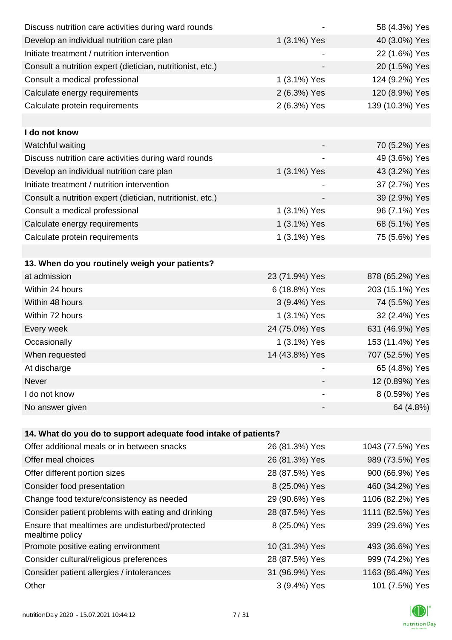| Discuss nutrition care activities during ward rounds               |                | 58 (4.3%) Yes    |
|--------------------------------------------------------------------|----------------|------------------|
| Develop an individual nutrition care plan                          | 1 (3.1%) Yes   | 40 (3.0%) Yes    |
| Initiate treatment / nutrition intervention                        |                | 22 (1.6%) Yes    |
| Consult a nutrition expert (dietician, nutritionist, etc.)         |                | 20 (1.5%) Yes    |
| Consult a medical professional                                     | 1 (3.1%) Yes   | 124 (9.2%) Yes   |
| Calculate energy requirements                                      | 2 (6.3%) Yes   | 120 (8.9%) Yes   |
| Calculate protein requirements                                     | 2 (6.3%) Yes   | 139 (10.3%) Yes  |
|                                                                    |                |                  |
| I do not know                                                      |                |                  |
| Watchful waiting                                                   |                | 70 (5.2%) Yes    |
| Discuss nutrition care activities during ward rounds               |                | 49 (3.6%) Yes    |
| Develop an individual nutrition care plan                          | 1 (3.1%) Yes   | 43 (3.2%) Yes    |
| Initiate treatment / nutrition intervention                        |                | 37 (2.7%) Yes    |
| Consult a nutrition expert (dietician, nutritionist, etc.)         |                | 39 (2.9%) Yes    |
| Consult a medical professional                                     | 1 (3.1%) Yes   | 96 (7.1%) Yes    |
| Calculate energy requirements                                      | 1 (3.1%) Yes   | 68 (5.1%) Yes    |
| Calculate protein requirements                                     | 1 (3.1%) Yes   | 75 (5.6%) Yes    |
|                                                                    |                |                  |
| 13. When do you routinely weigh your patients?                     |                |                  |
| at admission                                                       | 23 (71.9%) Yes | 878 (65.2%) Yes  |
| Within 24 hours                                                    | 6 (18.8%) Yes  | 203 (15.1%) Yes  |
| Within 48 hours                                                    | 3 (9.4%) Yes   | 74 (5.5%) Yes    |
| Within 72 hours                                                    | 1 (3.1%) Yes   | 32 (2.4%) Yes    |
| Every week                                                         | 24 (75.0%) Yes | 631 (46.9%) Yes  |
| Occasionally                                                       | 1 (3.1%) Yes   | 153 (11.4%) Yes  |
| When requested                                                     | 14 (43.8%) Yes | 707 (52.5%) Yes  |
| At discharge                                                       |                | 65 (4.8%) Yes    |
| Never                                                              |                | 12 (0.89%) Yes   |
| I do not know                                                      |                | 8 (0.59%) Yes    |
| No answer given                                                    |                | 64 (4.8%)        |
|                                                                    |                |                  |
| 14. What do you do to support adequate food intake of patients?    |                |                  |
| Offer additional meals or in between snacks                        | 26 (81.3%) Yes | 1043 (77.5%) Yes |
| Offer meal choices                                                 | 26 (81.3%) Yes | 989 (73.5%) Yes  |
| Offer different portion sizes                                      | 28 (87.5%) Yes | 900 (66.9%) Yes  |
| Consider food presentation                                         | 8 (25.0%) Yes  | 460 (34.2%) Yes  |
| Change food texture/consistency as needed                          | 29 (90.6%) Yes | 1106 (82.2%) Yes |
| Consider patient problems with eating and drinking                 | 28 (87.5%) Yes | 1111 (82.5%) Yes |
| Ensure that mealtimes are undisturbed/protected<br>mealtime policy | 8 (25.0%) Yes  | 399 (29.6%) Yes  |
| Promote positive eating environment                                | 10 (31.3%) Yes | 493 (36.6%) Yes  |
| Consider cultural/religious preferences                            | 28 (87.5%) Yes | 999 (74.2%) Yes  |
| Consider patient allergies / intolerances                          | 31 (96.9%) Yes | 1163 (86.4%) Yes |
| Other                                                              | 3 (9.4%) Yes   | 101 (7.5%) Yes   |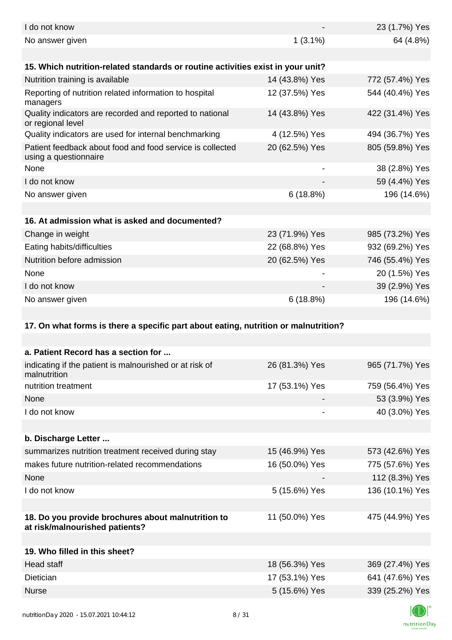| I do not know                                                                        |                | 23 (1.7%) Yes   |
|--------------------------------------------------------------------------------------|----------------|-----------------|
| No answer given                                                                      | $1(3.1\%)$     | 64 (4.8%)       |
| 15. Which nutrition-related standards or routine activities exist in your unit?      |                |                 |
| Nutrition training is available                                                      | 14 (43.8%) Yes | 772 (57.4%) Yes |
| Reporting of nutrition related information to hospital<br>managers                   | 12 (37.5%) Yes | 544 (40.4%) Yes |
| Quality indicators are recorded and reported to national<br>or regional level        | 14 (43.8%) Yes | 422 (31.4%) Yes |
| Quality indicators are used for internal benchmarking                                | 4 (12.5%) Yes  | 494 (36.7%) Yes |
| Patient feedback about food and food service is collected<br>using a questionnaire   | 20 (62.5%) Yes | 805 (59.8%) Yes |
| None                                                                                 |                | 38 (2.8%) Yes   |
| I do not know                                                                        |                | 59 (4.4%) Yes   |
| No answer given                                                                      | 6(18.8%)       | 196 (14.6%)     |
|                                                                                      |                |                 |
| 16. At admission what is asked and documented?                                       |                |                 |
| Change in weight                                                                     | 23 (71.9%) Yes | 985 (73.2%) Yes |
| Eating habits/difficulties                                                           | 22 (68.8%) Yes | 932 (69.2%) Yes |
| Nutrition before admission                                                           | 20 (62.5%) Yes | 746 (55.4%) Yes |
| None                                                                                 |                | 20 (1.5%) Yes   |
| I do not know                                                                        |                | 39 (2.9%) Yes   |
| No answer given                                                                      | 6(18.8%)       | 196 (14.6%)     |
| 17. On what forms is there a specific part about eating, nutrition or malnutrition?  |                |                 |
|                                                                                      |                |                 |
| a. Patient Record has a section for                                                  |                |                 |
| indicating if the patient is malnourished or at risk of<br>malnutrition              | 26 (81.3%) Yes | 965 (71.7%) Yes |
| nutrition treatment                                                                  | 17 (53.1%) Yes | 759 (56.4%) Yes |
| None                                                                                 |                | 53 (3.9%) Yes   |
| I do not know                                                                        |                | 40 (3.0%) Yes   |
|                                                                                      |                |                 |
| b. Discharge Letter                                                                  |                |                 |
| summarizes nutrition treatment received during stay                                  | 15 (46.9%) Yes | 573 (42.6%) Yes |
| makes future nutrition-related recommendations                                       | 16 (50.0%) Yes | 775 (57.6%) Yes |
| None                                                                                 |                | 112 (8.3%) Yes  |
| I do not know                                                                        | 5 (15.6%) Yes  | 136 (10.1%) Yes |
|                                                                                      |                |                 |
| 18. Do you provide brochures about malnutrition to<br>at risk/malnourished patients? | 11 (50.0%) Yes | 475 (44.9%) Yes |
|                                                                                      |                |                 |
| 19. Who filled in this sheet?                                                        |                |                 |
|                                                                                      |                |                 |
| Head staff                                                                           | 18 (56.3%) Yes | 369 (27.4%) Yes |
| Dietician                                                                            | 17 (53.1%) Yes | 641 (47.6%) Yes |
| <b>Nurse</b>                                                                         | 5 (15.6%) Yes  | 339 (25.2%) Yes |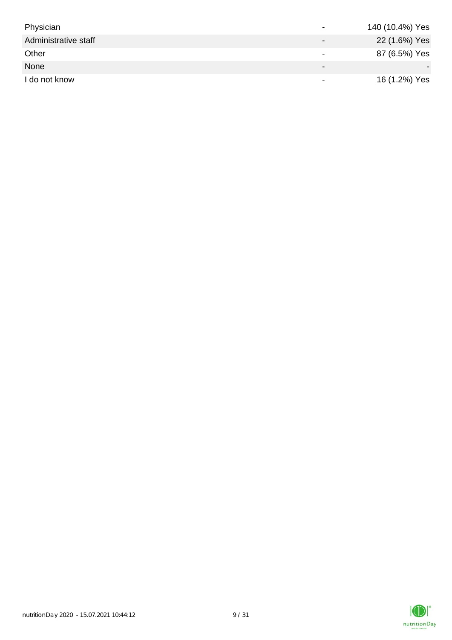| Physician            | $\overline{\phantom{0}}$ | 140 (10.4%) Yes |
|----------------------|--------------------------|-----------------|
| Administrative staff | $\overline{\phantom{0}}$ | 22 (1.6%) Yes   |
| Other                |                          | 87 (6.5%) Yes   |
| None                 | $\qquad \qquad$          |                 |
| I do not know        |                          | 16 (1.2%) Yes   |

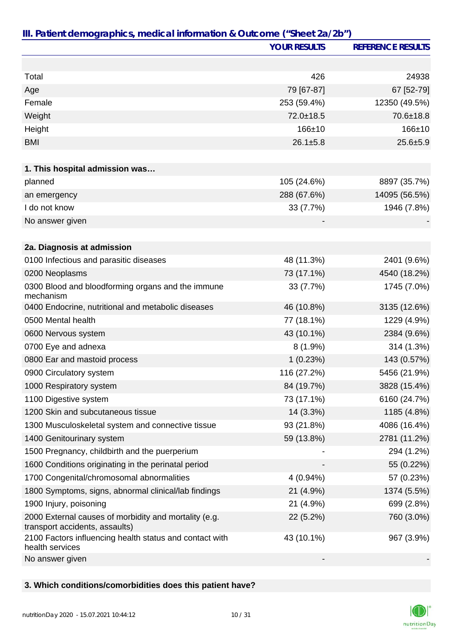|                                                                                         | <b>YOUR RESULTS</b> | <b>REFERENCE RESULTS</b> |
|-----------------------------------------------------------------------------------------|---------------------|--------------------------|
|                                                                                         |                     |                          |
| Total                                                                                   | 426                 | 24938                    |
| Age                                                                                     | 79 [67-87]          | 67 [52-79]               |
| Female                                                                                  | 253 (59.4%)         | 12350 (49.5%)            |
| Weight                                                                                  | 72.0±18.5           | 70.6±18.8                |
| Height                                                                                  | 166±10              | $166 + 10$               |
| <b>BMI</b>                                                                              | $26.1 \pm 5.8$      | $25.6 + 5.9$             |
|                                                                                         |                     |                          |
| 1. This hospital admission was                                                          |                     |                          |
| planned                                                                                 | 105 (24.6%)         | 8897 (35.7%)             |
| an emergency                                                                            | 288 (67.6%)         | 14095 (56.5%)            |
| I do not know                                                                           | 33 (7.7%)           | 1946 (7.8%)              |
| No answer given                                                                         |                     |                          |
|                                                                                         |                     |                          |
| 2a. Diagnosis at admission                                                              |                     |                          |
| 0100 Infectious and parasitic diseases                                                  | 48 (11.3%)          | 2401 (9.6%)              |
| 0200 Neoplasms                                                                          | 73 (17.1%)          | 4540 (18.2%)             |
| 0300 Blood and bloodforming organs and the immune<br>mechanism                          | 33 (7.7%)           | 1745 (7.0%)              |
| 0400 Endocrine, nutritional and metabolic diseases                                      | 46 (10.8%)          | 3135 (12.6%)             |
| 0500 Mental health                                                                      | 77 (18.1%)          | 1229 (4.9%)              |
| 0600 Nervous system                                                                     | 43 (10.1%)          | 2384 (9.6%)              |
| 0700 Eye and adnexa                                                                     | $8(1.9\%)$          | 314 (1.3%)               |
| 0800 Ear and mastoid process                                                            | 1(0.23%)            | 143 (0.57%)              |
| 0900 Circulatory system                                                                 | 116 (27.2%)         | 5456 (21.9%)             |
| 1000 Respiratory system                                                                 | 84 (19.7%)          | 3828 (15.4%)             |
| 1100 Digestive system                                                                   | 73 (17.1%)          | 6160 (24.7%)             |
| 1200 Skin and subcutaneous tissue                                                       | 14 (3.3%)           | 1185 (4.8%)              |
| 1300 Musculoskeletal system and connective tissue                                       | 93 (21.8%)          | 4086 (16.4%)             |
| 1400 Genitourinary system                                                               | 59 (13.8%)          | 2781 (11.2%)             |
| 1500 Pregnancy, childbirth and the puerperium                                           |                     | 294 (1.2%)               |
| 1600 Conditions originating in the perinatal period                                     |                     | 55 (0.22%)               |
| 1700 Congenital/chromosomal abnormalities                                               | $4(0.94\%)$         | 57 (0.23%)               |
| 1800 Symptoms, signs, abnormal clinical/lab findings                                    | 21 (4.9%)           | 1374 (5.5%)              |
| 1900 Injury, poisoning                                                                  | 21 (4.9%)           | 699 (2.8%)               |
| 2000 External causes of morbidity and mortality (e.g.<br>transport accidents, assaults) | 22 (5.2%)           | 760 (3.0%)               |
| 2100 Factors influencing health status and contact with<br>health services              | 43 (10.1%)          | 967 (3.9%)               |
| No answer given                                                                         |                     |                          |

### **3. Which conditions/comorbidities does this patient have?**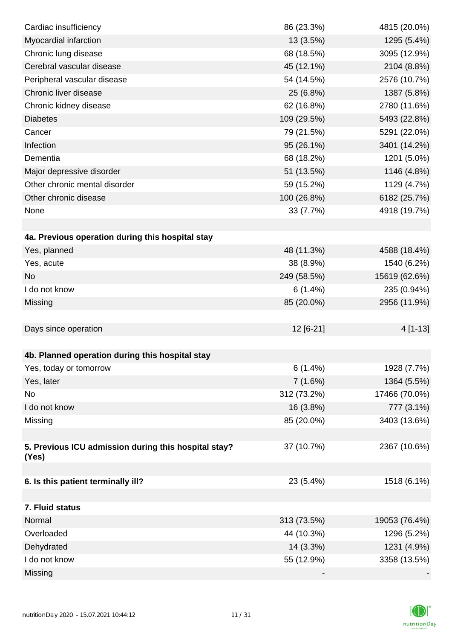| Cardiac insufficiency                                | 86 (23.3%)  | 4815 (20.0%)  |
|------------------------------------------------------|-------------|---------------|
| Myocardial infarction                                | 13 (3.5%)   | 1295 (5.4%)   |
| Chronic lung disease                                 | 68 (18.5%)  | 3095 (12.9%)  |
| Cerebral vascular disease                            | 45 (12.1%)  | 2104 (8.8%)   |
| Peripheral vascular disease                          | 54 (14.5%)  | 2576 (10.7%)  |
| Chronic liver disease                                | 25 (6.8%)   | 1387 (5.8%)   |
| Chronic kidney disease                               | 62 (16.8%)  | 2780 (11.6%)  |
| <b>Diabetes</b>                                      | 109 (29.5%) | 5493 (22.8%)  |
| Cancer                                               | 79 (21.5%)  | 5291 (22.0%)  |
| Infection                                            | 95 (26.1%)  | 3401 (14.2%)  |
| Dementia                                             | 68 (18.2%)  | 1201 (5.0%)   |
| Major depressive disorder                            | 51 (13.5%)  | 1146 (4.8%)   |
| Other chronic mental disorder                        | 59 (15.2%)  | 1129 (4.7%)   |
| Other chronic disease                                | 100 (26.8%) | 6182 (25.7%)  |
| None                                                 | 33 (7.7%)   | 4918 (19.7%)  |
|                                                      |             |               |
| 4a. Previous operation during this hospital stay     |             |               |
| Yes, planned                                         | 48 (11.3%)  | 4588 (18.4%)  |
| Yes, acute                                           | 38 (8.9%)   | 1540 (6.2%)   |
| <b>No</b>                                            | 249 (58.5%) | 15619 (62.6%) |
| I do not know                                        | 6(1.4%)     | 235 (0.94%)   |
| Missing                                              | 85 (20.0%)  | 2956 (11.9%)  |
|                                                      |             |               |
| Days since operation                                 | 12 [6-21]   | 4 [1-13]      |
|                                                      |             |               |
| 4b. Planned operation during this hospital stay      |             |               |
| Yes, today or tomorrow                               | 6(1.4%)     | 1928 (7.7%)   |
| Yes, later                                           | 7(1.6%)     | 1364 (5.5%)   |
| No                                                   | 312 (73.2%) | 17466 (70.0%) |
| I do not know                                        | 16 (3.8%)   | 777 (3.1%)    |
| Missing                                              | 85 (20.0%)  | 3403 (13.6%)  |
|                                                      |             |               |
| 5. Previous ICU admission during this hospital stay? | 37 (10.7%)  | 2367 (10.6%)  |
| (Yes)                                                |             |               |
| 6. Is this patient terminally ill?                   | 23 (5.4%)   | 1518 (6.1%)   |
|                                                      |             |               |
| 7. Fluid status                                      |             |               |
| Normal                                               | 313 (73.5%) | 19053 (76.4%) |
| Overloaded                                           | 44 (10.3%)  | 1296 (5.2%)   |
| Dehydrated                                           | 14 (3.3%)   | 1231 (4.9%)   |
| I do not know                                        | 55 (12.9%)  | 3358 (13.5%)  |
| Missing                                              |             |               |
|                                                      |             |               |

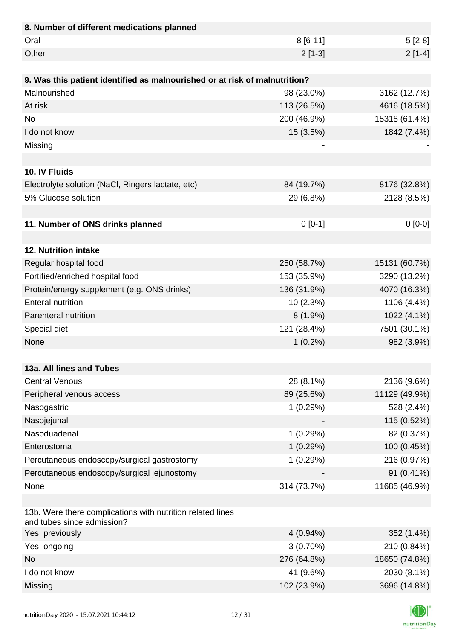| 8. Number of different medications planned                                               |             |               |
|------------------------------------------------------------------------------------------|-------------|---------------|
| Oral                                                                                     | $8[6-11]$   | $5[2-8]$      |
| Other                                                                                    | $2[1-3]$    | $2[1-4]$      |
|                                                                                          |             |               |
| 9. Was this patient identified as malnourished or at risk of malnutrition?               |             |               |
| Malnourished                                                                             | 98 (23.0%)  | 3162 (12.7%)  |
| At risk                                                                                  | 113 (26.5%) | 4616 (18.5%)  |
| <b>No</b>                                                                                | 200 (46.9%) | 15318 (61.4%) |
| I do not know                                                                            | 15 (3.5%)   | 1842 (7.4%)   |
| Missing                                                                                  |             |               |
|                                                                                          |             |               |
| 10. IV Fluids                                                                            |             |               |
| Electrolyte solution (NaCl, Ringers lactate, etc)                                        | 84 (19.7%)  | 8176 (32.8%)  |
| 5% Glucose solution                                                                      | 29 (6.8%)   | 2128 (8.5%)   |
|                                                                                          |             |               |
| 11. Number of ONS drinks planned                                                         | $0[0-1]$    | $0[0-0]$      |
|                                                                                          |             |               |
| 12. Nutrition intake                                                                     |             |               |
| Regular hospital food                                                                    | 250 (58.7%) | 15131 (60.7%) |
| Fortified/enriched hospital food                                                         | 153 (35.9%) | 3290 (13.2%)  |
| Protein/energy supplement (e.g. ONS drinks)                                              | 136 (31.9%) | 4070 (16.3%)  |
| <b>Enteral nutrition</b>                                                                 | 10 (2.3%)   | 1106 (4.4%)   |
| Parenteral nutrition                                                                     | $8(1.9\%)$  | 1022 (4.1%)   |
| Special diet                                                                             | 121 (28.4%) | 7501 (30.1%)  |
| None                                                                                     | $1(0.2\%)$  | 982 (3.9%)    |
|                                                                                          |             |               |
| 13a. All lines and Tubes                                                                 |             |               |
| <b>Central Venous</b>                                                                    | 28 (8.1%)   | 2136 (9.6%)   |
| Peripheral venous access                                                                 | 89 (25.6%)  | 11129 (49.9%) |
| Nasogastric                                                                              | 1(0.29%)    | 528 (2.4%)    |
| Nasojejunal                                                                              |             | 115 (0.52%)   |
| Nasoduadenal                                                                             | 1(0.29%)    | 82 (0.37%)    |
| Enterostoma                                                                              | 1(0.29%)    | 100 (0.45%)   |
| Percutaneous endoscopy/surgical gastrostomy                                              | 1(0.29%)    | 216 (0.97%)   |
| Percutaneous endoscopy/surgical jejunostomy                                              |             | 91 (0.41%)    |
| None                                                                                     | 314 (73.7%) | 11685 (46.9%) |
|                                                                                          |             |               |
| 13b. Were there complications with nutrition related lines<br>and tubes since admission? |             |               |
| Yes, previously                                                                          | 4 (0.94%)   | 352 (1.4%)    |
| Yes, ongoing                                                                             | $3(0.70\%)$ | 210 (0.84%)   |
| <b>No</b>                                                                                | 276 (64.8%) | 18650 (74.8%) |
| I do not know                                                                            | 41 (9.6%)   | 2030 (8.1%)   |
| Missing                                                                                  | 102 (23.9%) | 3696 (14.8%)  |

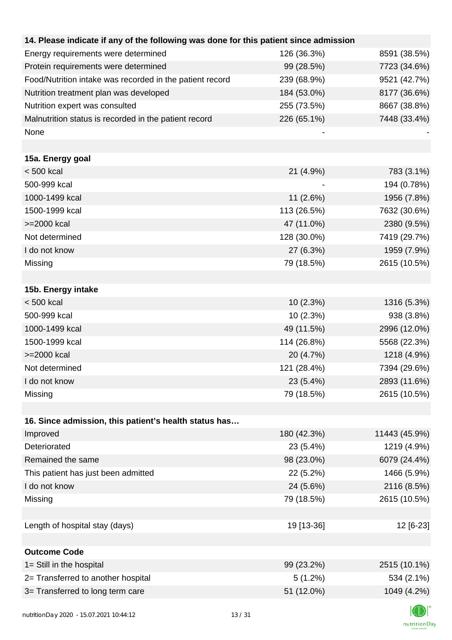| 14. Please indicate if any of the following was done for this patient since admission |             |               |
|---------------------------------------------------------------------------------------|-------------|---------------|
| Energy requirements were determined                                                   | 126 (36.3%) | 8591 (38.5%)  |
| Protein requirements were determined                                                  | 99 (28.5%)  | 7723 (34.6%)  |
| Food/Nutrition intake was recorded in the patient record                              | 239 (68.9%) | 9521 (42.7%)  |
| Nutrition treatment plan was developed                                                | 184 (53.0%) | 8177 (36.6%)  |
| Nutrition expert was consulted                                                        | 255 (73.5%) | 8667 (38.8%)  |
| Malnutrition status is recorded in the patient record                                 | 226 (65.1%) | 7448 (33.4%)  |
| None                                                                                  |             |               |
|                                                                                       |             |               |
| 15a. Energy goal                                                                      |             |               |
| $< 500$ kcal                                                                          | 21 (4.9%)   | 783 (3.1%)    |
| 500-999 kcal                                                                          |             | 194 (0.78%)   |
| 1000-1499 kcal                                                                        | 11(2.6%)    | 1956 (7.8%)   |
| 1500-1999 kcal                                                                        | 113 (26.5%) | 7632 (30.6%)  |
| >=2000 kcal                                                                           | 47 (11.0%)  | 2380 (9.5%)   |
| Not determined                                                                        | 128 (30.0%) | 7419 (29.7%)  |
| I do not know                                                                         | 27 (6.3%)   | 1959 (7.9%)   |
| Missing                                                                               | 79 (18.5%)  | 2615 (10.5%)  |
|                                                                                       |             |               |
| 15b. Energy intake                                                                    |             |               |
| $< 500$ kcal                                                                          | 10(2.3%)    | 1316 (5.3%)   |
| 500-999 kcal                                                                          | 10(2.3%)    | 938 (3.8%)    |
| 1000-1499 kcal                                                                        | 49 (11.5%)  | 2996 (12.0%)  |
| 1500-1999 kcal                                                                        | 114 (26.8%) | 5568 (22.3%)  |
| >=2000 kcal                                                                           | 20 (4.7%)   | 1218 (4.9%)   |
| Not determined                                                                        | 121 (28.4%) | 7394 (29.6%)  |
| I do not know                                                                         | 23 (5.4%)   | 2893 (11.6%)  |
| Missing                                                                               | 79 (18.5%)  | 2615 (10.5%)  |
|                                                                                       |             |               |
| 16. Since admission, this patient's health status has                                 |             |               |
| Improved                                                                              | 180 (42.3%) | 11443 (45.9%) |
| Deteriorated                                                                          | 23 (5.4%)   | 1219 (4.9%)   |
| Remained the same                                                                     | 98 (23.0%)  | 6079 (24.4%)  |
| This patient has just been admitted                                                   | 22 (5.2%)   | 1466 (5.9%)   |
| I do not know                                                                         | 24 (5.6%)   | 2116 (8.5%)   |
| Missing                                                                               | 79 (18.5%)  | 2615 (10.5%)  |
|                                                                                       |             |               |
| Length of hospital stay (days)                                                        | 19 [13-36]  | 12 [6-23]     |
|                                                                                       |             |               |
| <b>Outcome Code</b>                                                                   |             |               |
| 1= Still in the hospital                                                              | 99 (23.2%)  | 2515 (10.1%)  |
| 2= Transferred to another hospital                                                    | 5(1.2%)     | 534 (2.1%)    |
| 3= Transferred to long term care                                                      | 51 (12.0%)  | 1049 (4.2%)   |
|                                                                                       |             |               |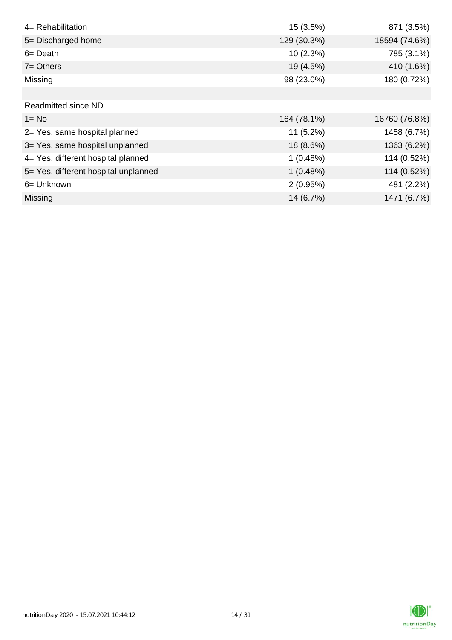| 4= Rehabilitation                    | 15 (3.5%)   | 871 (3.5%)    |
|--------------------------------------|-------------|---------------|
| 5= Discharged home                   | 129 (30.3%) | 18594 (74.6%) |
| $6 = Death$                          | 10(2.3%)    | 785 (3.1%)    |
| $7 =$ Others                         | 19 (4.5%)   | 410 (1.6%)    |
| Missing                              | 98 (23.0%)  | 180 (0.72%)   |
|                                      |             |               |
| <b>Readmitted since ND</b>           |             |               |
| $1 = No$                             | 164 (78.1%) | 16760 (76.8%) |
| 2= Yes, same hospital planned        | $11(5.2\%)$ | 1458 (6.7%)   |
| 3= Yes, same hospital unplanned      | 18 (8.6%)   | 1363 (6.2%)   |
| 4= Yes, different hospital planned   | 1(0.48%)    | 114 (0.52%)   |
| 5= Yes, different hospital unplanned | 1(0.48%)    | 114 (0.52%)   |
| 6= Unknown                           | 2(0.95%)    | 481 (2.2%)    |
| Missing                              | 14 (6.7%)   | 1471 (6.7%)   |

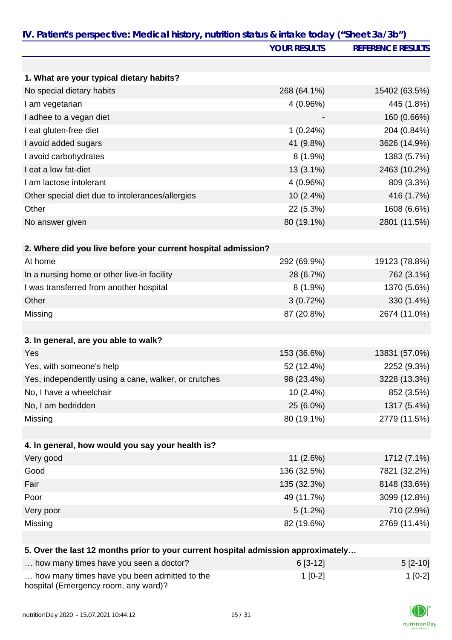| IV. Patient's perspective: Medical history, nutrition status & intake today ("Sheet 3a/3b") | <b>YOUR RESULTS</b> | <b>REFERENCE RESULTS</b> |
|---------------------------------------------------------------------------------------------|---------------------|--------------------------|
|                                                                                             |                     |                          |
| 1. What are your typical dietary habits?                                                    |                     |                          |
| No special dietary habits                                                                   | 268 (64.1%)         | 15402 (63.5%)            |
| I am vegetarian                                                                             | 4 (0.96%)           | 445 (1.8%)               |
| I adhee to a vegan diet                                                                     |                     | 160 (0.66%)              |
| I eat gluten-free diet                                                                      | 1(0.24%)            | 204 (0.84%)              |
| I avoid added sugars                                                                        | 41 (9.8%)           | 3626 (14.9%)             |
| I avoid carbohydrates                                                                       | $8(1.9\%)$          | 1383 (5.7%)              |
| I eat a low fat-diet                                                                        | $13(3.1\%)$         | 2463 (10.2%)             |
| I am lactose intolerant                                                                     | 4 (0.96%)           | 809 (3.3%)               |
| Other special diet due to intolerances/allergies                                            | 10 (2.4%)           | 416 (1.7%)               |
| Other                                                                                       | 22 (5.3%)           | 1608 (6.6%)              |
| No answer given                                                                             | 80 (19.1%)          | 2801 (11.5%)             |
|                                                                                             |                     |                          |
| 2. Where did you live before your current hospital admission?                               |                     |                          |
| At home                                                                                     | 292 (69.9%)         | 19123 (78.8%)            |
| In a nursing home or other live-in facility                                                 | 28 (6.7%)           | 762 (3.1%)               |
| I was transferred from another hospital                                                     | $8(1.9\%)$          | 1370 (5.6%)              |
| Other                                                                                       | 3(0.72%)            | 330 (1.4%)               |
| Missing                                                                                     | 87 (20.8%)          | 2674 (11.0%)             |
|                                                                                             |                     |                          |
| 3. In general, are you able to walk?                                                        |                     |                          |
| Yes                                                                                         | 153 (36.6%)         | 13831 (57.0%)            |
| Yes, with someone's help                                                                    | 52 (12.4%)          | 2252 (9.3%)              |
| Yes, independently using a cane, walker, or crutches                                        | 98 (23.4%)          | 3228 (13.3%)             |
| No, I have a wheelchair                                                                     | 10 (2.4%)           | 852 (3.5%)               |
| No, I am bedridden                                                                          | 25 (6.0%)           | 1317 (5.4%)              |
| Missing                                                                                     | 80 (19.1%)          | 2779 (11.5%)             |
|                                                                                             |                     |                          |
| 4. In general, how would you say your health is?                                            |                     |                          |
| Very good                                                                                   | 11 (2.6%)           | 1712 (7.1%)              |
| Good                                                                                        | 136 (32.5%)         | 7821 (32.2%)             |
| Fair                                                                                        | 135 (32.3%)         | 8148 (33.6%)             |
| Poor                                                                                        | 49 (11.7%)          | 3099 (12.8%)             |
| Very poor                                                                                   | 5(1.2%)             | 710 (2.9%)               |
| Missing                                                                                     | 82 (19.6%)          | 2769 (11.4%)             |
|                                                                                             |                     |                          |
| 5. Over the last 12 months prior to your current hospital admission approximately           |                     |                          |

| how many times have you seen a doctor?                                               | $6$ [3-12] | $5 [2 - 10]$ |
|--------------------------------------------------------------------------------------|------------|--------------|
| how many times have you been admitted to the<br>hospital (Emergency room, any ward)? | $1$ [0-2]  | $1$ [0-2]    |

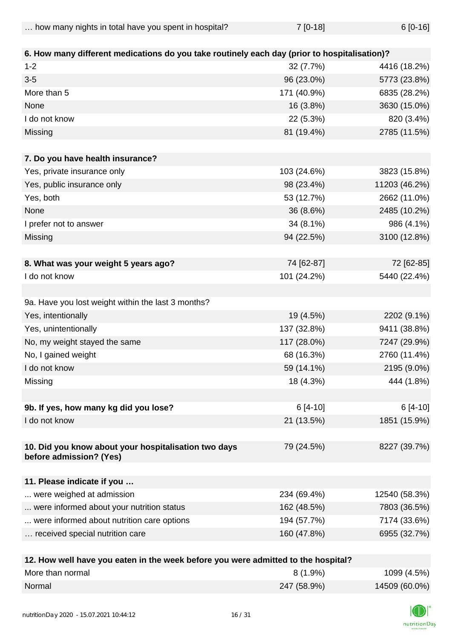| how many nights in total have you spent in hospital? | $7[0-18]$ | $6[0-16]$ |
|------------------------------------------------------|-----------|-----------|
|                                                      |           |           |

| 6. How many different medications do you take routinely each day (prior to hospitalisation)? |                         |               |
|----------------------------------------------------------------------------------------------|-------------------------|---------------|
| $1 - 2$                                                                                      | 32 (7.7%)               | 4416 (18.2%)  |
| $3-5$                                                                                        | 96 (23.0%)              | 5773 (23.8%)  |
| More than 5                                                                                  | 171 (40.9%)             | 6835 (28.2%)  |
| None                                                                                         | 16 (3.8%)               | 3630 (15.0%)  |
| I do not know                                                                                | 22 (5.3%)               | 820 (3.4%)    |
| Missing                                                                                      | 81 (19.4%)              | 2785 (11.5%)  |
| 7. Do you have health insurance?                                                             |                         |               |
| Yes, private insurance only                                                                  | 103 (24.6%)             | 3823 (15.8%)  |
| Yes, public insurance only                                                                   | 98 (23.4%)              | 11203 (46.2%) |
| Yes, both                                                                                    | 53 (12.7%)              | 2662 (11.0%)  |
| None                                                                                         | 36 (8.6%)               | 2485 (10.2%)  |
| I prefer not to answer                                                                       | 34 (8.1%)               | 986 (4.1%)    |
| Missing                                                                                      | 94 (22.5%)              | 3100 (12.8%)  |
|                                                                                              |                         |               |
| 8. What was your weight 5 years ago?                                                         | 74 [62-87]              | 72 [62-85]    |
| I do not know                                                                                | 101 (24.2%)             | 5440 (22.4%)  |
|                                                                                              |                         |               |
| 9a. Have you lost weight within the last 3 months?                                           |                         |               |
| Yes, intentionally                                                                           | 19 (4.5%)               | 2202 (9.1%)   |
| Yes, unintentionally                                                                         | 137 (32.8%)             | 9411 (38.8%)  |
| No, my weight stayed the same                                                                | 117 (28.0%)             | 7247 (29.9%)  |
| No, I gained weight                                                                          | 68 (16.3%)              | 2760 (11.4%)  |
| I do not know                                                                                | 59 (14.1%)              | 2195 (9.0%)   |
| Missing                                                                                      | 18 (4.3%)               | 444 (1.8%)    |
|                                                                                              |                         |               |
| 9b. If yes, how many kg did you lose?                                                        | $6[4-10]$               | $6[4-10]$     |
| I do not know                                                                                | 21 (13.5%)              | 1851 (15.9%)  |
|                                                                                              |                         |               |
| 10. Did you know about your hospitalisation two days<br>before admission? (Yes)              | 79 (24.5%)              | 8227 (39.7%)  |
| 11. Please indicate if you                                                                   |                         |               |
| were weighed at admission                                                                    | 234 (69.4%)             | 12540 (58.3%) |
| were informed about your nutrition status                                                    | 162 (48.5%)             | 7803 (36.5%)  |
| were informed about nutrition care options                                                   | 194 (57.7%)             | 7174 (33.6%)  |
| received special nutrition care                                                              | 160 (47.8%)             | 6955 (32.7%)  |
|                                                                                              |                         |               |
| 10 Haw usll have you esten in the week before you was                                        | cittad to the hoopital? |               |

| 12. How well have you eaten in the week before you were admitted to the hospital? |             |               |
|-----------------------------------------------------------------------------------|-------------|---------------|
| More than normal                                                                  | $8(1.9\%)$  | 1099 (4.5%)   |
| Normal                                                                            | 247 (58.9%) | 14509 (60.0%) |

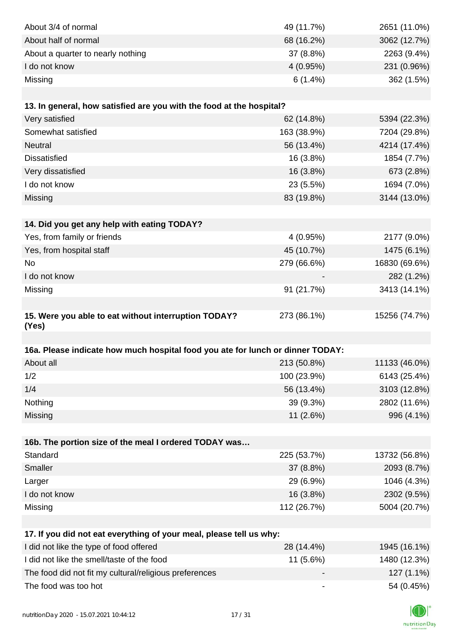| About 3/4 of normal<br>49 (11.7%)<br>2651 (11.0%)<br>About half of normal<br>68 (16.2%)<br>3062 (12.7%)<br>2263 (9.4%)<br>About a quarter to nearly nothing<br>37 (8.8%)<br>I do not know<br>231 (0.96%)<br>4(0.95%)<br>6(1.4%)<br>362 (1.5%)<br>Missing<br>13. In general, how satisfied are you with the food at the hospital?<br>Very satisfied<br>62 (14.8%)<br>5394 (22.3%)<br>Somewhat satisfied<br>163 (38.9%)<br>7204 (29.8%)<br><b>Neutral</b><br>56 (13.4%)<br>4214 (17.4%)<br><b>Dissatisfied</b><br>16 (3.8%)<br>1854 (7.7%)<br>673 (2.8%)<br>Very dissatisfied<br>16 (3.8%)<br>I do not know<br>23 (5.5%)<br>1694 (7.0%)<br>3144 (13.0%)<br>Missing<br>83 (19.8%)<br>14. Did you get any help with eating TODAY?<br>Yes, from family or friends<br>4(0.95%)<br>2177 (9.0%)<br>1475 (6.1%)<br>Yes, from hospital staff<br>45 (10.7%)<br>16830 (69.6%)<br>No<br>279 (66.6%)<br>I do not know<br>282 (1.2%)<br>3413 (14.1%)<br>Missing<br>91 (21.7%) |
|----------------------------------------------------------------------------------------------------------------------------------------------------------------------------------------------------------------------------------------------------------------------------------------------------------------------------------------------------------------------------------------------------------------------------------------------------------------------------------------------------------------------------------------------------------------------------------------------------------------------------------------------------------------------------------------------------------------------------------------------------------------------------------------------------------------------------------------------------------------------------------------------------------------------------------------------------------------|
|                                                                                                                                                                                                                                                                                                                                                                                                                                                                                                                                                                                                                                                                                                                                                                                                                                                                                                                                                                |
|                                                                                                                                                                                                                                                                                                                                                                                                                                                                                                                                                                                                                                                                                                                                                                                                                                                                                                                                                                |
|                                                                                                                                                                                                                                                                                                                                                                                                                                                                                                                                                                                                                                                                                                                                                                                                                                                                                                                                                                |
|                                                                                                                                                                                                                                                                                                                                                                                                                                                                                                                                                                                                                                                                                                                                                                                                                                                                                                                                                                |
|                                                                                                                                                                                                                                                                                                                                                                                                                                                                                                                                                                                                                                                                                                                                                                                                                                                                                                                                                                |
|                                                                                                                                                                                                                                                                                                                                                                                                                                                                                                                                                                                                                                                                                                                                                                                                                                                                                                                                                                |
|                                                                                                                                                                                                                                                                                                                                                                                                                                                                                                                                                                                                                                                                                                                                                                                                                                                                                                                                                                |
|                                                                                                                                                                                                                                                                                                                                                                                                                                                                                                                                                                                                                                                                                                                                                                                                                                                                                                                                                                |
|                                                                                                                                                                                                                                                                                                                                                                                                                                                                                                                                                                                                                                                                                                                                                                                                                                                                                                                                                                |
|                                                                                                                                                                                                                                                                                                                                                                                                                                                                                                                                                                                                                                                                                                                                                                                                                                                                                                                                                                |
|                                                                                                                                                                                                                                                                                                                                                                                                                                                                                                                                                                                                                                                                                                                                                                                                                                                                                                                                                                |
|                                                                                                                                                                                                                                                                                                                                                                                                                                                                                                                                                                                                                                                                                                                                                                                                                                                                                                                                                                |
|                                                                                                                                                                                                                                                                                                                                                                                                                                                                                                                                                                                                                                                                                                                                                                                                                                                                                                                                                                |
|                                                                                                                                                                                                                                                                                                                                                                                                                                                                                                                                                                                                                                                                                                                                                                                                                                                                                                                                                                |
|                                                                                                                                                                                                                                                                                                                                                                                                                                                                                                                                                                                                                                                                                                                                                                                                                                                                                                                                                                |
|                                                                                                                                                                                                                                                                                                                                                                                                                                                                                                                                                                                                                                                                                                                                                                                                                                                                                                                                                                |
|                                                                                                                                                                                                                                                                                                                                                                                                                                                                                                                                                                                                                                                                                                                                                                                                                                                                                                                                                                |
|                                                                                                                                                                                                                                                                                                                                                                                                                                                                                                                                                                                                                                                                                                                                                                                                                                                                                                                                                                |
|                                                                                                                                                                                                                                                                                                                                                                                                                                                                                                                                                                                                                                                                                                                                                                                                                                                                                                                                                                |
|                                                                                                                                                                                                                                                                                                                                                                                                                                                                                                                                                                                                                                                                                                                                                                                                                                                                                                                                                                |
|                                                                                                                                                                                                                                                                                                                                                                                                                                                                                                                                                                                                                                                                                                                                                                                                                                                                                                                                                                |
|                                                                                                                                                                                                                                                                                                                                                                                                                                                                                                                                                                                                                                                                                                                                                                                                                                                                                                                                                                |
| 15. Were you able to eat without interruption TODAY?<br>15256 (74.7%)<br>273 (86.1%)<br>(Yes)                                                                                                                                                                                                                                                                                                                                                                                                                                                                                                                                                                                                                                                                                                                                                                                                                                                                  |
|                                                                                                                                                                                                                                                                                                                                                                                                                                                                                                                                                                                                                                                                                                                                                                                                                                                                                                                                                                |
| 16a. Please indicate how much hospital food you ate for lunch or dinner TODAY:                                                                                                                                                                                                                                                                                                                                                                                                                                                                                                                                                                                                                                                                                                                                                                                                                                                                                 |
| About all<br>213 (50.8%)<br>11133 (46.0%)                                                                                                                                                                                                                                                                                                                                                                                                                                                                                                                                                                                                                                                                                                                                                                                                                                                                                                                      |
| 1/2<br>100 (23.9%)<br>6143 (25.4%)                                                                                                                                                                                                                                                                                                                                                                                                                                                                                                                                                                                                                                                                                                                                                                                                                                                                                                                             |
| 1/4<br>56 (13.4%)<br>3103 (12.8%)                                                                                                                                                                                                                                                                                                                                                                                                                                                                                                                                                                                                                                                                                                                                                                                                                                                                                                                              |
|                                                                                                                                                                                                                                                                                                                                                                                                                                                                                                                                                                                                                                                                                                                                                                                                                                                                                                                                                                |
| Nothing<br>39 (9.3%)<br>2802 (11.6%)                                                                                                                                                                                                                                                                                                                                                                                                                                                                                                                                                                                                                                                                                                                                                                                                                                                                                                                           |
| Missing<br>11 (2.6%)<br>996 (4.1%)                                                                                                                                                                                                                                                                                                                                                                                                                                                                                                                                                                                                                                                                                                                                                                                                                                                                                                                             |
|                                                                                                                                                                                                                                                                                                                                                                                                                                                                                                                                                                                                                                                                                                                                                                                                                                                                                                                                                                |
| 16b. The portion size of the meal I ordered TODAY was                                                                                                                                                                                                                                                                                                                                                                                                                                                                                                                                                                                                                                                                                                                                                                                                                                                                                                          |
| Standard<br>225 (53.7%)<br>13732 (56.8%)                                                                                                                                                                                                                                                                                                                                                                                                                                                                                                                                                                                                                                                                                                                                                                                                                                                                                                                       |
| Smaller<br>37 (8.8%)<br>2093 (8.7%)                                                                                                                                                                                                                                                                                                                                                                                                                                                                                                                                                                                                                                                                                                                                                                                                                                                                                                                            |
| Larger<br>29 (6.9%)<br>1046 (4.3%)                                                                                                                                                                                                                                                                                                                                                                                                                                                                                                                                                                                                                                                                                                                                                                                                                                                                                                                             |
| I do not know                                                                                                                                                                                                                                                                                                                                                                                                                                                                                                                                                                                                                                                                                                                                                                                                                                                                                                                                                  |
| 16 (3.8%)<br>2302 (9.5%)<br>112 (26.7%)<br>5004 (20.7%)                                                                                                                                                                                                                                                                                                                                                                                                                                                                                                                                                                                                                                                                                                                                                                                                                                                                                                        |
| Missing                                                                                                                                                                                                                                                                                                                                                                                                                                                                                                                                                                                                                                                                                                                                                                                                                                                                                                                                                        |
|                                                                                                                                                                                                                                                                                                                                                                                                                                                                                                                                                                                                                                                                                                                                                                                                                                                                                                                                                                |
| 17. If you did not eat everything of your meal, please tell us why:                                                                                                                                                                                                                                                                                                                                                                                                                                                                                                                                                                                                                                                                                                                                                                                                                                                                                            |
| I did not like the type of food offered<br>28 (14.4%)<br>1945 (16.1%)                                                                                                                                                                                                                                                                                                                                                                                                                                                                                                                                                                                                                                                                                                                                                                                                                                                                                          |
| I did not like the smell/taste of the food<br>11 (5.6%)<br>1480 (12.3%)<br>The food did not fit my cultural/religious preferences<br>127 (1.1%)                                                                                                                                                                                                                                                                                                                                                                                                                                                                                                                                                                                                                                                                                                                                                                                                                |

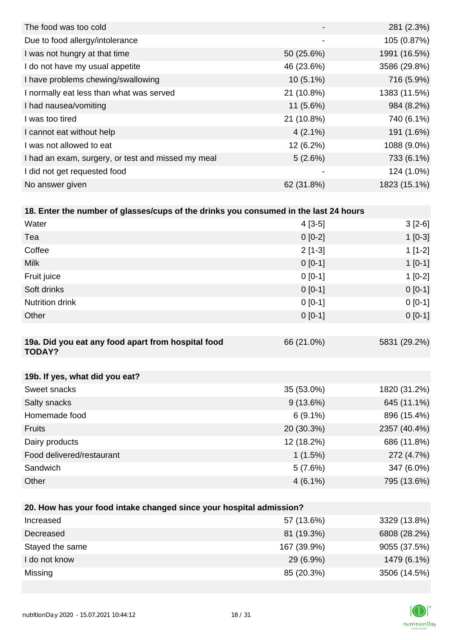|                | 281 (2.3%)   |
|----------------|--------------|
| $\blacksquare$ | 105 (0.87%)  |
| 50 (25.6%)     | 1991 (16.5%) |
| 46 (23.6%)     | 3586 (29.8%) |
| $10(5.1\%)$    | 716 (5.9%)   |
| 21 (10.8%)     | 1383 (11.5%) |
| $11(5.6\%)$    | 984 (8.2%)   |
| 21 (10.8%)     | 740 (6.1%)   |
| $4(2.1\%)$     | 191 (1.6%)   |
| $12(6.2\%)$    | 1088 (9.0%)  |
| 5(2.6%)        | 733 (6.1%)   |
| -              | 124 (1.0%)   |
| 62 (31.8%)     | 1823 (15.1%) |
|                |              |

|  |  |  | 18. Enter the number of glasses/cups of the drinks you consumed in the last 24 hours |  |
|--|--|--|--------------------------------------------------------------------------------------|--|
|--|--|--|--------------------------------------------------------------------------------------|--|

| Water                                                               | $4[3-5]$   | $3[2-6]$     |
|---------------------------------------------------------------------|------------|--------------|
| Tea                                                                 | $0[0-2]$   | $1[0-3]$     |
| Coffee                                                              | $2[1-3]$   | $1[1-2]$     |
| <b>Milk</b>                                                         | $0 [0-1]$  | $1[0-1]$     |
| Fruit juice                                                         | $0 [0-1]$  | $1[0-2]$     |
| Soft drinks                                                         | $0 [0-1]$  | $0 [0-1]$    |
| <b>Nutrition drink</b>                                              | $0[0-1]$   | $0[0-1]$     |
| Other                                                               | $0[0-1]$   | $0 [0-1]$    |
|                                                                     |            |              |
| 19a. Did you eat any food apart from hospital food<br><b>TODAY?</b> | 66 (21.0%) | 5831 (29.2%) |
|                                                                     |            |              |
| 19b. If yes, what did you eat?                                      |            |              |
| Sweet snacks                                                        | 35 (53.0%) | 1820 (31.2%) |
| Salty snacks                                                        | 9(13.6%)   | 645 (11.1%)  |
| Homemade food                                                       | $6(9.1\%)$ | 896 (15.4%)  |
| <b>Fruits</b>                                                       | 20 (30.3%) | 2357 (40.4%) |
| Dairy products                                                      | 12 (18.2%) | 686 (11.8%)  |
| Food delivered/restaurant                                           | 1(1.5%)    | 272 (4.7%)   |
| Sandwich                                                            | 5(7.6%)    | 347 (6.0%)   |
| Other                                                               | $4(6.1\%)$ | 795 (13.6%)  |
|                                                                     |            |              |
| 20. How has your food intake changed since your hospital admission? |            |              |
| Increased                                                           | 57 (13.6%) | 3329 (13.8%) |

| Increased       | 57 (13.6%)  | 3329 (13.8%) |
|-----------------|-------------|--------------|
| Decreased       | 81 (19.3%)  | 6808 (28.2%) |
| Stayed the same | 167 (39.9%) | 9055 (37.5%) |
| I do not know   | $29(6.9\%)$ | 1479 (6.1%)  |
| Missing         | 85 (20.3%)  | 3506 (14.5%) |

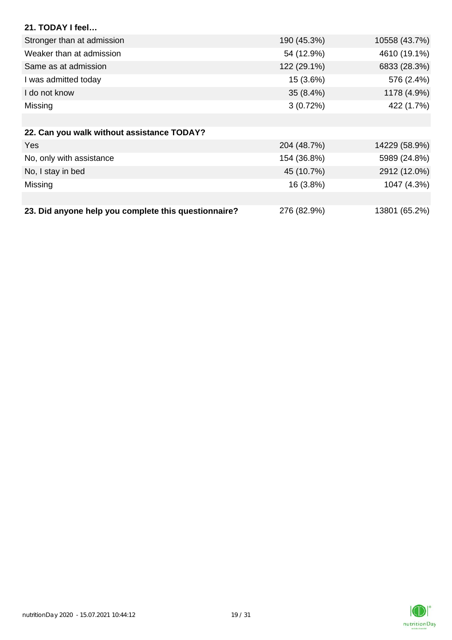| 21. TODAY I feel                                     |             |               |
|------------------------------------------------------|-------------|---------------|
| Stronger than at admission                           | 190 (45.3%) | 10558 (43.7%) |
| Weaker than at admission                             | 54 (12.9%)  | 4610 (19.1%)  |
| Same as at admission                                 | 122 (29.1%) | 6833 (28.3%)  |
| I was admitted today                                 | 15 (3.6%)   | 576 (2.4%)    |
| I do not know                                        | $35(8.4\%)$ | 1178 (4.9%)   |
| Missing                                              | 3(0.72%)    | 422 (1.7%)    |
|                                                      |             |               |
| 22. Can you walk without assistance TODAY?           |             |               |
| <b>Yes</b>                                           | 204 (48.7%) | 14229 (58.9%) |
| No, only with assistance                             | 154 (36.8%) | 5989 (24.8%)  |
| No, I stay in bed                                    | 45 (10.7%)  | 2912 (12.0%)  |
| Missing                                              | 16 (3.8%)   | 1047 (4.3%)   |
|                                                      |             |               |
| 23. Did anyone help you complete this questionnaire? | 276 (82.9%) | 13801 (65.2%) |

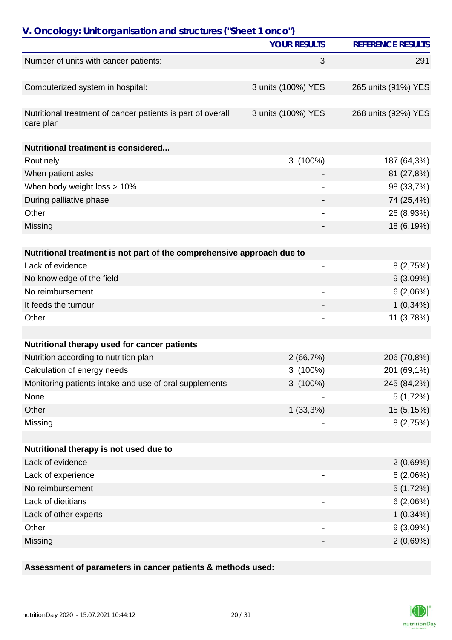| V. Oncology: Unit organisation and structures ("Sheet 1 onco")           |                     |                          |  |
|--------------------------------------------------------------------------|---------------------|--------------------------|--|
|                                                                          | <b>YOUR RESULTS</b> | <b>REFERENCE RESULTS</b> |  |
| Number of units with cancer patients:                                    | 3                   | 291                      |  |
|                                                                          |                     |                          |  |
| Computerized system in hospital:                                         | 3 units (100%) YES  | 265 units (91%) YES      |  |
|                                                                          |                     |                          |  |
| Nutritional treatment of cancer patients is part of overall<br>care plan | 3 units (100%) YES  | 268 units (92%) YES      |  |
| Nutritional treatment is considered                                      |                     |                          |  |
| Routinely                                                                | 3(100%)             | 187 (64,3%)              |  |
| When patient asks                                                        |                     | 81 (27,8%)               |  |
| When body weight loss > 10%                                              |                     | 98 (33,7%)               |  |
| During palliative phase                                                  |                     | 74 (25,4%)               |  |
| Other                                                                    |                     | 26 (8,93%)               |  |
| Missing                                                                  |                     | 18 (6,19%)               |  |
|                                                                          |                     |                          |  |
| Nutritional treatment is not part of the comprehensive approach due to   |                     |                          |  |
| Lack of evidence                                                         | -                   | 8(2,75%)                 |  |
| No knowledge of the field                                                |                     | 9(3,09%)                 |  |
| No reimbursement                                                         |                     | 6(2,06%)                 |  |
| It feeds the tumour                                                      |                     | $1(0,34\%)$              |  |
| Other                                                                    |                     | 11 (3,78%)               |  |
|                                                                          |                     |                          |  |
| Nutritional therapy used for cancer patients                             |                     |                          |  |
| Nutrition according to nutrition plan                                    | 2(66,7%)            | 206 (70,8%)              |  |
| Calculation of energy needs                                              | 3(100%)             | 201 (69,1%)              |  |
| Monitoring patients intake and use of oral supplements                   | $3(100\%)$          | 245 (84,2%)              |  |
| None                                                                     |                     | 5(1,72%)                 |  |
| Other                                                                    | $1(33,3\%)$         | 15 (5,15%)               |  |
| Missing                                                                  |                     | 8(2,75%)                 |  |
|                                                                          |                     |                          |  |
| Nutritional therapy is not used due to                                   |                     |                          |  |
| Lack of evidence                                                         |                     | 2(0,69%)                 |  |
| Lack of experience                                                       |                     | 6(2,06%)                 |  |
| No reimbursement                                                         |                     | 5(1,72%)                 |  |
| Lack of dietitians                                                       |                     | 6(2,06%)                 |  |
| Lack of other experts                                                    |                     | $1(0,34\%)$              |  |
| Other                                                                    |                     | 9(3,09%)                 |  |
| Missing                                                                  | -                   | 2(0,69%)                 |  |

**Assessment of parameters in cancer patients & methods used:**

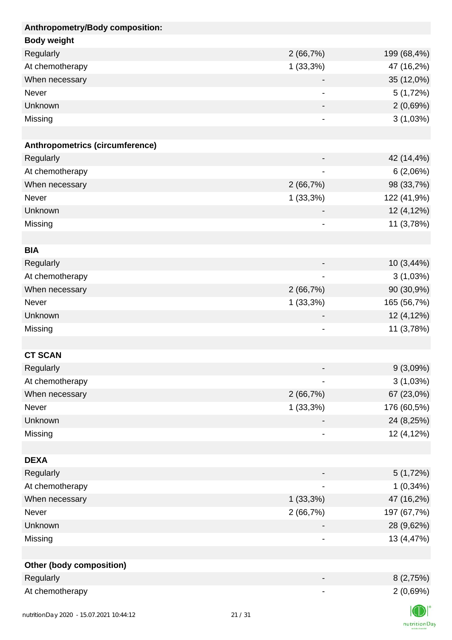| Anthropometry/Body composition: |                              |             |
|---------------------------------|------------------------------|-------------|
| <b>Body weight</b>              |                              |             |
| Regularly                       | 2(66,7%)                     | 199 (68,4%) |
| At chemotherapy                 | 1(33,3%)                     | 47 (16,2%)  |
| When necessary                  |                              | 35 (12,0%)  |
| Never                           | $\qquad \qquad \blacksquare$ | 5(1,72%)    |
| Unknown                         |                              | 2(0,69%)    |
| Missing                         |                              | 3(1,03%)    |
|                                 |                              |             |
| Anthropometrics (circumference) |                              |             |
| Regularly                       |                              | 42 (14,4%)  |
| At chemotherapy                 |                              | 6(2,06%)    |
| When necessary                  | 2(66,7%)                     | 98 (33,7%)  |
| <b>Never</b>                    | 1(33,3%)                     | 122 (41,9%) |
| Unknown                         |                              | 12 (4,12%)  |
| Missing                         | ۰                            | 11 (3,78%)  |
|                                 |                              |             |
| <b>BIA</b>                      |                              |             |
| Regularly                       |                              | 10(3,44%)   |
| At chemotherapy                 |                              | 3(1,03%)    |
| When necessary                  | 2(66,7%)                     | 90 (30,9%)  |
| <b>Never</b>                    | $1(33,3\%)$                  | 165 (56,7%) |
| Unknown                         |                              | 12 (4,12%)  |
| Missing                         | $\qquad \qquad \blacksquare$ | 11 (3,78%)  |
|                                 |                              |             |
| <b>CT SCAN</b>                  |                              |             |
| Regularly                       |                              | 9(3,09%)    |
| At chemotherapy                 |                              | 3(1,03%)    |
| When necessary                  | 2(66,7%)                     | 67 (23,0%)  |
| Never                           | $1(33,3\%)$                  | 176 (60,5%) |
| Unknown                         |                              | 24 (8,25%)  |
| Missing                         |                              | 12 (4,12%)  |
|                                 |                              |             |
| <b>DEXA</b>                     |                              |             |
| Regularly                       |                              | 5(1,72%)    |
| At chemotherapy                 |                              | $1(0,34\%)$ |
| When necessary                  | 1(33,3%)                     | 47 (16,2%)  |
| Never                           | 2(66,7%)                     | 197 (67,7%) |
| Unknown                         |                              | 28 (9,62%)  |
| Missing                         | -                            | 13 (4,47%)  |
|                                 |                              |             |
| <b>Other (body composition)</b> |                              |             |
| Regularly                       |                              | 8(2,75%)    |
| At chemotherapy                 |                              | 2(0,69%)    |
|                                 |                              | $\sqrt{2}$  |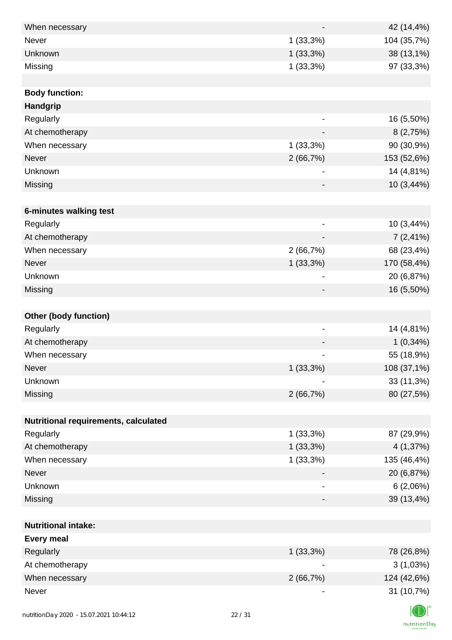| When necessary                           |       |             | 42 (14,4%)  |
|------------------------------------------|-------|-------------|-------------|
| Never                                    |       | 1(33,3%)    | 104 (35,7%) |
| Unknown                                  |       | $1(33,3\%)$ | 38 (13,1%)  |
| Missing                                  |       | 1(33,3%)    | 97 (33,3%)  |
|                                          |       |             |             |
| <b>Body function:</b>                    |       |             |             |
| Handgrip                                 |       |             |             |
| Regularly                                |       |             | 16 (5,50%)  |
| At chemotherapy                          |       |             | 8(2,75%)    |
| When necessary                           |       | 1(33,3%)    | 90 (30,9%)  |
| <b>Never</b>                             |       | 2(66,7%)    | 153 (52,6%) |
| Unknown                                  |       |             | 14 (4,81%)  |
| Missing                                  |       |             | 10 (3,44%)  |
|                                          |       |             |             |
| 6-minutes walking test                   |       |             |             |
| Regularly                                |       |             | 10 (3,44%)  |
| At chemotherapy                          |       |             | $7(2,41\%)$ |
| When necessary                           |       | 2(66,7%)    | 68 (23,4%)  |
| <b>Never</b>                             |       | $1(33,3\%)$ | 170 (58,4%) |
| Unknown                                  |       | -           | 20 (6,87%)  |
| Missing                                  |       |             | 16 (5,50%)  |
|                                          |       |             |             |
| <b>Other (body function)</b>             |       |             |             |
| Regularly                                |       |             | 14 (4,81%)  |
| At chemotherapy                          |       |             | $1(0,34\%)$ |
| When necessary                           |       | -           | 55 (18,9%)  |
| Never                                    |       | 1(33,3%)    | 108 (37,1%) |
| Unknown                                  |       |             | 33 (11,3%)  |
| Missing                                  |       | 2(66,7%)    | 80 (27,5%)  |
|                                          |       |             |             |
| Nutritional requirements, calculated     |       |             |             |
| Regularly                                |       | $1(33,3\%)$ | 87 (29,9%)  |
| At chemotherapy                          |       | $1(33,3\%)$ | 4 (1,37%)   |
| When necessary                           |       | 1(33,3%)    | 135 (46,4%) |
| <b>Never</b>                             |       |             | 20 (6,87%)  |
| Unknown                                  |       |             | 6(2,06%)    |
| Missing                                  |       | -           | 39 (13,4%)  |
|                                          |       |             |             |
| <b>Nutritional intake:</b>               |       |             |             |
| <b>Every meal</b>                        |       |             |             |
| Regularly                                |       | 1(33,3%)    | 78 (26,8%)  |
| At chemotherapy                          |       |             | 3(1,03%)    |
| When necessary                           |       | 2(66,7%)    | 124 (42,6%) |
| Never                                    |       |             | 31 (10,7%)  |
|                                          |       |             |             |
| nutrition Day 2020 - 15.07.2021 10:44:12 | 22/31 |             |             |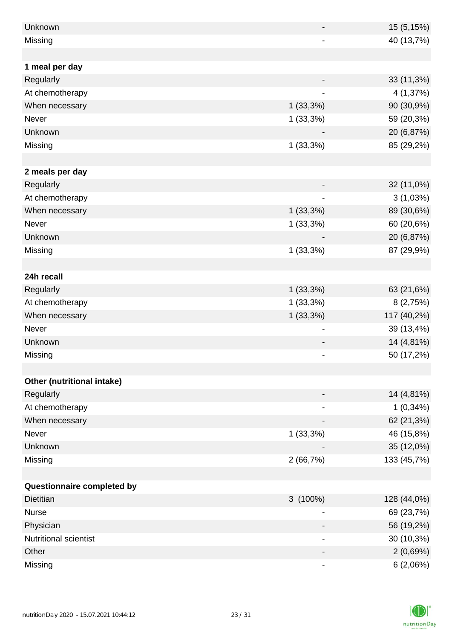| Unknown                    |             | 15 (5,15%)  |
|----------------------------|-------------|-------------|
| Missing                    |             | 40 (13,7%)  |
|                            |             |             |
| 1 meal per day             |             |             |
| Regularly                  |             | 33 (11,3%)  |
| At chemotherapy            | -           | 4 (1,37%)   |
| When necessary             | 1(33,3%)    | 90 (30,9%)  |
| Never                      | 1(33,3%)    | 59 (20,3%)  |
| Unknown                    |             | 20 (6,87%)  |
| Missing                    | 1(33,3%)    | 85 (29,2%)  |
|                            |             |             |
| 2 meals per day            |             |             |
| Regularly                  |             | 32 (11,0%)  |
| At chemotherapy            |             | 3(1,03%)    |
| When necessary             | 1(33,3%)    | 89 (30,6%)  |
| Never                      | $1(33,3\%)$ | 60 (20,6%)  |
| Unknown                    |             | 20 (6,87%)  |
| Missing                    | 1(33,3%)    | 87 (29,9%)  |
|                            |             |             |
| 24h recall                 |             |             |
| Regularly                  | $1(33,3\%)$ | 63 (21,6%)  |
| At chemotherapy            | 1(33,3%)    | 8(2,75%)    |
| When necessary             | $1(33,3\%)$ | 117 (40,2%) |
| Never                      |             | 39 (13,4%)  |
| Unknown                    |             | 14 (4,81%)  |
| Missing                    |             | 50 (17,2%)  |
|                            |             |             |
| Other (nutritional intake) |             |             |
| Regularly                  |             | 14 (4,81%)  |
| At chemotherapy            | -           | $1(0,34\%)$ |
| When necessary             |             | 62 (21,3%)  |
| Never                      | 1(33,3%)    | 46 (15,8%)  |
| Unknown                    |             | 35 (12,0%)  |
| Missing                    | 2(66,7%)    | 133 (45,7%) |
|                            |             |             |
| Questionnaire completed by |             |             |
| <b>Dietitian</b>           | $3(100\%)$  | 128 (44,0%) |
| <b>Nurse</b>               |             | 69 (23,7%)  |
| Physician                  |             | 56 (19,2%)  |
| Nutritional scientist      |             | 30 (10,3%)  |
| Other                      |             | 2(0,69%)    |
| Missing                    |             | 6(2,06%)    |

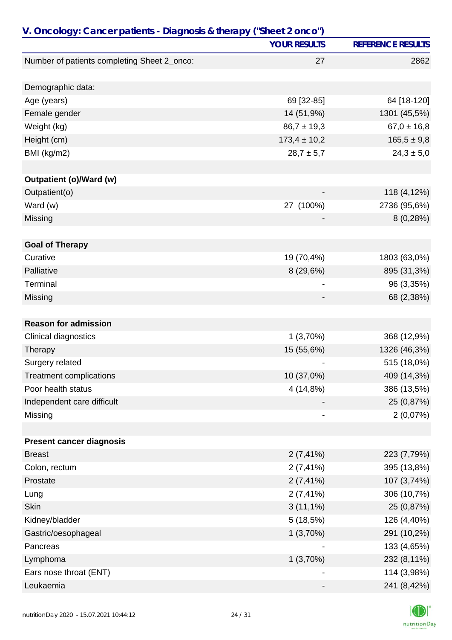| V. Oncology: Cancer patients - Diagnosis & therapy ("Sheet 2 onco") |                     |                          |  |
|---------------------------------------------------------------------|---------------------|--------------------------|--|
|                                                                     | <b>YOUR RESULTS</b> | <b>REFERENCE RESULTS</b> |  |
| Number of patients completing Sheet 2_onco:                         | 27                  | 2862                     |  |
|                                                                     |                     |                          |  |
| Demographic data:                                                   |                     |                          |  |
| Age (years)                                                         | 69 [32-85]          | 64 [18-120]              |  |
| Female gender                                                       | 14 (51,9%)          | 1301 (45,5%)             |  |
| Weight (kg)                                                         | $86,7 \pm 19,3$     | $67,0 \pm 16,8$          |  |
| Height (cm)                                                         | $173,4 \pm 10,2$    | $165,5 \pm 9,8$          |  |
| BMI (kg/m2)                                                         | $28,7 \pm 5,7$      | $24,3 \pm 5,0$           |  |
|                                                                     |                     |                          |  |
| Outpatient (o)/Ward (w)                                             |                     |                          |  |
| Outpatient(o)                                                       |                     | 118 (4,12%)              |  |
| Ward (w)                                                            | 27 (100%)           | 2736 (95,6%)             |  |
| Missing                                                             |                     | 8(0,28%)                 |  |
|                                                                     |                     |                          |  |
| <b>Goal of Therapy</b>                                              |                     |                          |  |
| Curative                                                            | 19 (70,4%)          | 1803 (63,0%)             |  |
| Palliative                                                          | 8 (29,6%)           | 895 (31,3%)              |  |
| Terminal                                                            |                     | 96 (3,35%)               |  |
| Missing                                                             |                     | 68 (2,38%)               |  |
|                                                                     |                     |                          |  |
| <b>Reason for admission</b>                                         |                     |                          |  |
| Clinical diagnostics                                                | 1(3,70%)            | 368 (12,9%)              |  |
| Therapy                                                             | 15 (55,6%)          | 1326 (46,3%)             |  |
| Surgery related                                                     |                     | 515 (18,0%)              |  |
| <b>Treatment complications</b>                                      | 10 (37,0%)          | 409 (14,3%)              |  |
| Poor health status                                                  | 4 (14,8%)           | 386 (13,5%)              |  |
| Independent care difficult                                          |                     | 25 (0,87%)               |  |
| Missing                                                             |                     | 2(0,07%)                 |  |
|                                                                     |                     |                          |  |
| <b>Present cancer diagnosis</b>                                     |                     |                          |  |
| <b>Breast</b>                                                       | $2(7, 41\%)$        | 223 (7,79%)              |  |
| Colon, rectum                                                       | $2(7, 41\%)$        | 395 (13,8%)              |  |
| Prostate                                                            | $2(7, 41\%)$        | 107 (3,74%)              |  |
| Lung                                                                | $2(7, 41\%)$        | 306 (10,7%)              |  |
| <b>Skin</b>                                                         | $3(11,1\%)$         | 25 (0,87%)               |  |
| Kidney/bladder                                                      | 5(18,5%)            | 126 (4,40%)              |  |
| Gastric/oesophageal                                                 | 1(3,70%)            | 291 (10,2%)              |  |
| Pancreas                                                            |                     | 133 (4,65%)              |  |
| Lymphoma                                                            | 1(3,70%)            | 232 (8,11%)              |  |
| Ears nose throat (ENT)                                              |                     | 114 (3,98%)              |  |
| Leukaemia                                                           |                     | 241 (8,42%)              |  |

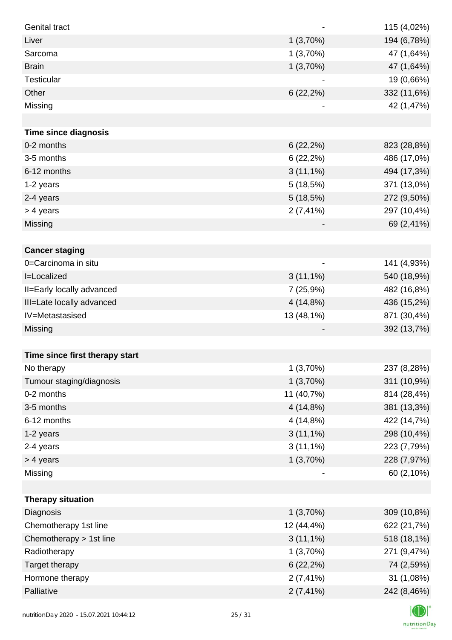| <b>Genital tract</b>           |              | 115 (4,02%) |
|--------------------------------|--------------|-------------|
| Liver                          | 1(3,70%)     | 194 (6,78%) |
| Sarcoma                        | 1(3,70%)     | 47 (1,64%)  |
| <b>Brain</b>                   | 1(3,70%)     | 47 (1,64%)  |
| <b>Testicular</b>              |              | 19 (0,66%)  |
| Other                          | $6(22,2\%)$  | 332 (11,6%) |
| Missing                        |              | 42 (1,47%)  |
|                                |              |             |
| <b>Time since diagnosis</b>    |              |             |
| 0-2 months                     | 6(22,2%)     | 823 (28,8%) |
| 3-5 months                     | $6(22,2\%)$  | 486 (17,0%) |
| 6-12 months                    | $3(11,1\%)$  | 494 (17,3%) |
| 1-2 years                      | 5(18,5%)     | 371 (13,0%) |
| 2-4 years                      | 5(18,5%)     | 272 (9,50%) |
| > 4 years                      | $2(7, 41\%)$ | 297 (10,4%) |
| Missing                        |              | 69 (2,41%)  |
|                                |              |             |
| <b>Cancer staging</b>          |              |             |
| 0=Carcinoma in situ            |              | 141 (4,93%) |
| <b>I=Localized</b>             | $3(11,1\%)$  | 540 (18,9%) |
| II=Early locally advanced      | 7 (25,9%)    | 482 (16,8%) |
| III=Late locally advanced      | 4 (14,8%)    | 436 (15,2%) |
| IV=Metastasised                | 13 (48,1%)   | 871 (30,4%) |
| Missing                        |              | 392 (13,7%) |
|                                |              |             |
| Time since first therapy start |              |             |
| No therapy                     | 1(3,70%)     | 237 (8,28%) |
| Tumour staging/diagnosis       | 1(3,70%)     | 311 (10,9%) |
| 0-2 months                     | 11 (40,7%)   | 814 (28,4%) |
| 3-5 months                     | 4 (14,8%)    | 381 (13,3%) |
| 6-12 months                    | 4 (14,8%)    | 422 (14,7%) |
| 1-2 years                      | $3(11,1\%)$  | 298 (10,4%) |
| 2-4 years                      | $3(11,1\%)$  | 223 (7,79%) |
| > 4 years                      | 1(3,70%)     | 228 (7,97%) |
| Missing                        |              | 60 (2,10%)  |
|                                |              |             |
| <b>Therapy situation</b>       |              |             |
| Diagnosis                      | 1(3,70%)     | 309 (10,8%) |
| Chemotherapy 1st line          | 12 (44,4%)   | 622 (21,7%) |
| Chemotherapy > 1st line        | $3(11,1\%)$  | 518 (18,1%) |
| Radiotherapy                   | 1(3,70%)     | 271 (9,47%) |
| Target therapy                 | 6(22,2%)     | 74 (2,59%)  |
| Hormone therapy                | $2(7, 41\%)$ | 31 (1,08%)  |
| Palliative                     | $2(7, 41\%)$ | 242 (8,46%) |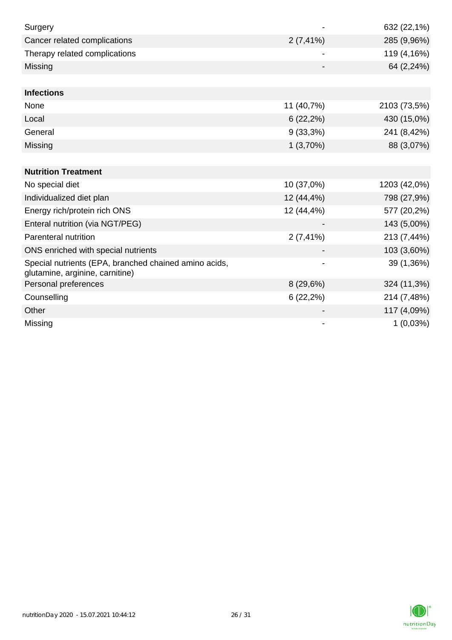| Surgery                                                                                  |              | 632 (22,1%)  |
|------------------------------------------------------------------------------------------|--------------|--------------|
| Cancer related complications                                                             | $2(7, 41\%)$ | 285 (9,96%)  |
| Therapy related complications                                                            |              | 119 (4,16%)  |
| Missing                                                                                  |              | 64 (2,24%)   |
|                                                                                          |              |              |
| <b>Infections</b>                                                                        |              |              |
| None                                                                                     | 11 (40,7%)   | 2103 (73,5%) |
| Local                                                                                    | 6(22,2%)     | 430 (15,0%)  |
| General                                                                                  | 9(33,3%)     | 241 (8,42%)  |
| Missing                                                                                  | 1(3,70%)     | 88 (3,07%)   |
|                                                                                          |              |              |
| <b>Nutrition Treatment</b>                                                               |              |              |
| No special diet                                                                          | 10 (37,0%)   | 1203 (42,0%) |
| Individualized diet plan                                                                 | 12 (44,4%)   | 798 (27,9%)  |
| Energy rich/protein rich ONS                                                             | 12 (44,4%)   | 577 (20,2%)  |
| Enteral nutrition (via NGT/PEG)                                                          |              | 143 (5,00%)  |
| Parenteral nutrition                                                                     | $2(7, 41\%)$ | 213 (7,44%)  |
| ONS enriched with special nutrients                                                      |              | 103 (3,60%)  |
| Special nutrients (EPA, branched chained amino acids,<br>glutamine, arginine, carnitine) |              | 39 (1,36%)   |
| Personal preferences                                                                     | 8(29,6%)     | 324 (11,3%)  |
| Counselling                                                                              | 6(22,2%)     | 214 (7,48%)  |
| Other                                                                                    |              | 117 (4,09%)  |
| Missing                                                                                  |              | 1(0,03%)     |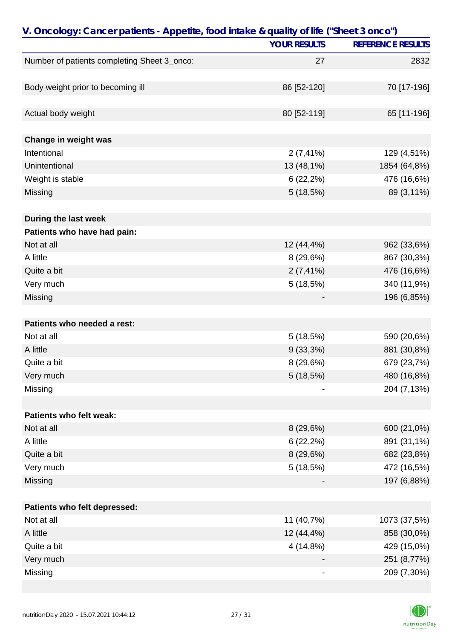| V. Oncology: Cancer patients - Appetite, food intake & quality of life ("Sheet 3 onco") |                     |                          |  |
|-----------------------------------------------------------------------------------------|---------------------|--------------------------|--|
|                                                                                         | <b>YOUR RESULTS</b> | <b>REFERENCE RESULTS</b> |  |
| Number of patients completing Sheet 3_onco:                                             | 27                  | 2832                     |  |
|                                                                                         |                     |                          |  |
| Body weight prior to becoming ill                                                       | 86 [52-120]         | 70 [17-196]              |  |
|                                                                                         |                     |                          |  |
| Actual body weight                                                                      | 80 [52-119]         | 65 [11-196]              |  |
|                                                                                         |                     |                          |  |
| Change in weight was                                                                    |                     |                          |  |
| Intentional                                                                             | $2(7, 41\%)$        | 129 (4,51%)              |  |
| Unintentional                                                                           | 13 (48,1%)          | 1854 (64,8%)             |  |
| Weight is stable                                                                        | $6(22,2\%)$         | 476 (16,6%)              |  |
| Missing                                                                                 | 5(18,5%)            | 89 (3,11%)               |  |
|                                                                                         |                     |                          |  |
| During the last week                                                                    |                     |                          |  |
| Patients who have had pain:                                                             |                     |                          |  |
| Not at all                                                                              | 12 (44,4%)          | 962 (33,6%)              |  |
| A little                                                                                | 8(29,6%)            | 867 (30,3%)              |  |
| Quite a bit                                                                             | $2(7, 41\%)$        | 476 (16,6%)              |  |
| Very much                                                                               | 5(18,5%)            | 340 (11,9%)              |  |
| Missing                                                                                 |                     | 196 (6,85%)              |  |
|                                                                                         |                     |                          |  |
| Patients who needed a rest:                                                             |                     |                          |  |
| Not at all                                                                              | 5(18,5%)            | 590 (20,6%)              |  |
| A little                                                                                | $9(33,3\%)$         | 881 (30,8%)              |  |
| Quite a bit                                                                             | 8(29,6%)            | 679 (23,7%)              |  |
| Very much                                                                               | 5(18,5%)            | 480 (16,8%)              |  |
| Missing                                                                                 |                     | 204 (7,13%)              |  |
|                                                                                         |                     |                          |  |
| Patients who felt weak:                                                                 |                     |                          |  |
| Not at all                                                                              | 8(29,6%)            | 600 (21,0%)              |  |
| A little                                                                                | 6(22,2%)            | 891 (31,1%)              |  |
| Quite a bit                                                                             | 8(29,6%)            | 682 (23,8%)              |  |
| Very much                                                                               | 5(18,5%)            | 472 (16,5%)              |  |
| Missing                                                                                 |                     | 197 (6,88%)              |  |
|                                                                                         |                     |                          |  |
| Patients who felt depressed:                                                            |                     |                          |  |
| Not at all                                                                              | 11 (40,7%)          | 1073 (37,5%)             |  |
| A little                                                                                | 12 (44,4%)          | 858 (30,0%)              |  |
| Quite a bit                                                                             | 4(14,8%)            | 429 (15,0%)              |  |
| Very much                                                                               |                     | 251 (8,77%)              |  |
| Missing                                                                                 |                     | 209 (7,30%)              |  |
|                                                                                         |                     |                          |  |

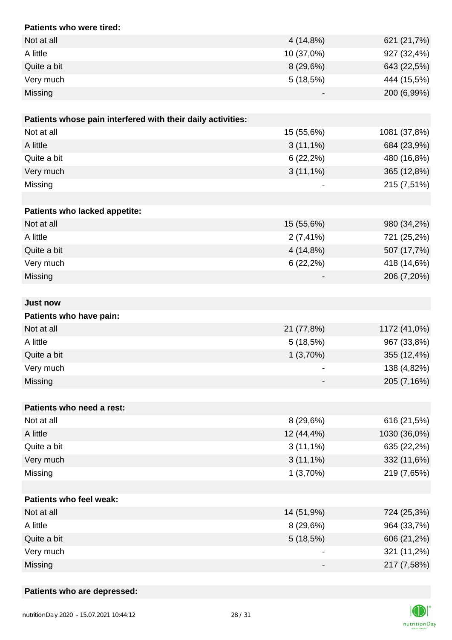| Patients who were tired:                                    |              |              |
|-------------------------------------------------------------|--------------|--------------|
| Not at all                                                  | 4 (14,8%)    | 621 (21,7%)  |
| A little                                                    | 10 (37,0%)   | 927 (32,4%)  |
| Quite a bit                                                 | 8(29,6%)     | 643 (22,5%)  |
| Very much                                                   | 5(18,5%)     | 444 (15,5%)  |
| Missing                                                     |              | 200 (6,99%)  |
|                                                             |              |              |
| Patients whose pain interfered with their daily activities: |              |              |
| Not at all                                                  | 15 (55,6%)   | 1081 (37,8%) |
| A little                                                    | $3(11,1\%)$  | 684 (23,9%)  |
| Quite a bit                                                 | 6(22,2%)     | 480 (16,8%)  |
| Very much                                                   | $3(11,1\%)$  | 365 (12,8%)  |
| Missing                                                     |              | 215 (7,51%)  |
|                                                             |              |              |
| Patients who lacked appetite:                               |              |              |
| Not at all                                                  | 15 (55,6%)   | 980 (34,2%)  |
| A little                                                    | $2(7, 41\%)$ | 721 (25,2%)  |
| Quite a bit                                                 | 4(14,8%)     | 507 (17,7%)  |
| Very much                                                   | $6(22,2\%)$  | 418 (14,6%)  |
| Missing                                                     |              | 206 (7,20%)  |
|                                                             |              |              |
| <b>Just now</b>                                             |              |              |
| Patients who have pain:                                     |              |              |
| Not at all                                                  | 21 (77,8%)   | 1172 (41,0%) |
| A little                                                    | 5(18,5%)     | 967 (33,8%)  |
| Quite a bit                                                 | 1(3,70%)     | 355 (12,4%)  |
| Very much                                                   |              | 138 (4,82%)  |
| Missing                                                     |              | 205 (7,16%)  |
|                                                             |              |              |
| Patients who need a rest:                                   |              |              |
| Not at all                                                  | 8(29,6%)     | 616 (21,5%)  |
| A little                                                    | 12 (44,4%)   | 1030 (36,0%) |
| Quite a bit                                                 | $3(11,1\%)$  | 635 (22,2%)  |
| Very much                                                   | $3(11,1\%)$  | 332 (11,6%)  |
| Missing                                                     | 1(3,70%)     | 219 (7,65%)  |
|                                                             |              |              |
| <b>Patients who feel weak:</b>                              |              |              |
| Not at all                                                  | 14 (51,9%)   | 724 (25,3%)  |
| A little                                                    | 8(29,6%)     | 964 (33,7%)  |
| Quite a bit                                                 | 5(18,5%)     | 606 (21,2%)  |
| Very much                                                   |              | 321 (11,2%)  |
| Missing                                                     |              | 217 (7,58%)  |

#### **Patients who are depressed:**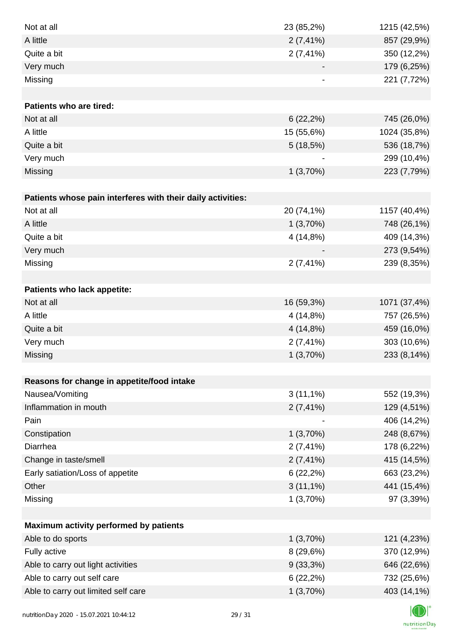| Not at all                                                  | 23 (85,2%)   | 1215 (42,5%) |
|-------------------------------------------------------------|--------------|--------------|
| A little                                                    | $2(7, 41\%)$ | 857 (29,9%)  |
| Quite a bit                                                 | $2(7, 41\%)$ | 350 (12,2%)  |
| Very much                                                   |              | 179 (6,25%)  |
| Missing                                                     |              | 221 (7,72%)  |
|                                                             |              |              |
| <b>Patients who are tired:</b>                              |              |              |
| Not at all                                                  | 6(22,2%)     | 745 (26,0%)  |
| A little                                                    | 15 (55,6%)   | 1024 (35,8%) |
| Quite a bit                                                 | 5(18,5%)     | 536 (18,7%)  |
| Very much                                                   |              | 299 (10,4%)  |
| Missing                                                     | 1(3,70%)     | 223 (7,79%)  |
|                                                             |              |              |
| Patients whose pain interferes with their daily activities: |              |              |
| Not at all                                                  | 20 (74,1%)   | 1157 (40,4%) |
| A little                                                    | 1(3,70%)     | 748 (26,1%)  |
| Quite a bit                                                 | 4 (14,8%)    | 409 (14,3%)  |
| Very much                                                   |              | 273 (9,54%)  |
| Missing                                                     | $2(7, 41\%)$ | 239 (8,35%)  |
|                                                             |              |              |
| Patients who lack appetite:                                 |              |              |
| Not at all                                                  | 16 (59,3%)   | 1071 (37,4%) |
| A little                                                    | 4 (14,8%)    | 757 (26,5%)  |
| Quite a bit                                                 | 4 (14,8%)    | 459 (16,0%)  |
| Very much                                                   | $2(7, 41\%)$ | 303 (10,6%)  |
| Missing                                                     | 1(3,70%)     | 233 (8,14%)  |
|                                                             |              |              |
| Reasons for change in appetite/food intake                  |              |              |
| Nausea/Vomiting                                             | $3(11,1\%)$  | 552 (19,3%)  |
| Inflammation in mouth                                       | $2(7, 41\%)$ | 129 (4,51%)  |
| Pain                                                        |              | 406 (14,2%)  |
| Constipation                                                | 1(3,70%)     | 248 (8,67%)  |
| Diarrhea                                                    | $2(7, 41\%)$ | 178 (6,22%)  |
| Change in taste/smell                                       | $2(7, 41\%)$ | 415 (14,5%)  |
| Early satiation/Loss of appetite                            | 6(22,2%)     | 663 (23,2%)  |
| Other                                                       | $3(11,1\%)$  | 441 (15,4%)  |
| Missing                                                     | 1(3,70%)     | 97 (3,39%)   |
|                                                             |              |              |
| Maximum activity performed by patients                      |              |              |
| Able to do sports                                           | 1(3,70%)     | 121 (4,23%)  |
| Fully active                                                | 8 (29,6%)    | 370 (12,9%)  |
| Able to carry out light activities                          | $9(33,3\%)$  | 646 (22,6%)  |
| Able to carry out self care                                 | 6(22,2%)     | 732 (25,6%)  |
| Able to carry out limited self care                         | 1(3,70%)     | 403 (14,1%)  |
|                                                             |              |              |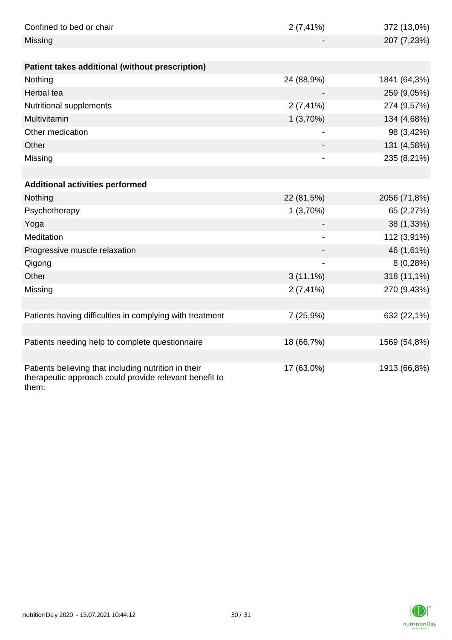| Confined to bed or chair                                                                                                | $2(7, 41\%)$             | 372 (13,0%)  |
|-------------------------------------------------------------------------------------------------------------------------|--------------------------|--------------|
| Missing                                                                                                                 |                          | 207 (7,23%)  |
|                                                                                                                         |                          |              |
| Patient takes additional (without prescription)                                                                         |                          |              |
| Nothing                                                                                                                 | 24 (88,9%)               | 1841 (64,3%) |
| Herbal tea                                                                                                              |                          | 259 (9,05%)  |
| Nutritional supplements                                                                                                 | $2(7, 41\%)$             | 274 (9,57%)  |
| Multivitamin                                                                                                            | 1(3,70%)                 | 134 (4,68%)  |
| Other medication                                                                                                        | $\overline{\phantom{0}}$ | 98 (3,42%)   |
| Other                                                                                                                   |                          | 131 (4,58%)  |
| Missing                                                                                                                 |                          | 235 (8,21%)  |
|                                                                                                                         |                          |              |
| <b>Additional activities performed</b>                                                                                  |                          |              |
| Nothing                                                                                                                 | 22 (81,5%)               | 2056 (71,8%) |
| Psychotherapy                                                                                                           | 1(3,70%)                 | 65 (2,27%)   |
| Yoga                                                                                                                    |                          | 38 (1,33%)   |
| Meditation                                                                                                              | -                        | 112 (3,91%)  |
| Progressive muscle relaxation                                                                                           |                          | 46 (1,61%)   |
| Qigong                                                                                                                  |                          | 8(0,28%)     |
| Other                                                                                                                   | $3(11,1\%)$              | 318 (11,1%)  |
| Missing                                                                                                                 | $2(7, 41\%)$             | 270 (9,43%)  |
|                                                                                                                         |                          |              |
| Patients having difficulties in complying with treatment                                                                | 7(25,9%)                 | 632 (22,1%)  |
|                                                                                                                         |                          |              |
| Patients needing help to complete questionnaire                                                                         | 18 (66,7%)               | 1569 (54,8%) |
|                                                                                                                         |                          |              |
| Patients believing that including nutrition in their<br>therapeutic approach could provide relevant benefit to<br>them: | 17 (63,0%)               | 1913 (66,8%) |